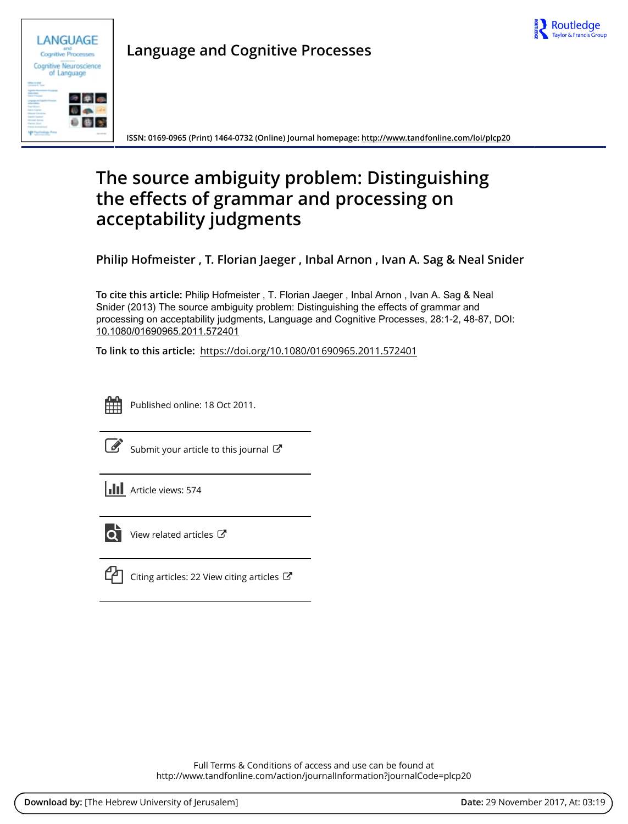

| LANGUAGE<br>and<br><b>Cognitive Processes</b>                                                                                                                                                                                                                                    |  |
|----------------------------------------------------------------------------------------------------------------------------------------------------------------------------------------------------------------------------------------------------------------------------------|--|
| Cognitive Neuroscience<br>of Language<br><b>Sallow to chief</b><br>Lorentown & Tyler                                                                                                                                                                                             |  |
| <b>Allen Ave</b><br><b>Savid Frances</b><br><b>Completed Ave</b><br>Artist Follows<br><b>Sand Blazer</b><br>September 15 percent.<br><b>Warrant Converse</b><br><b>Great Control</b><br><b>Westman Service</b><br>α<br><b>Program Street</b><br><b>Process &amp; Arthurstown</b> |  |
| <b>UP</b> Pachology Press                                                                                                                                                                                                                                                        |  |

**Language and Cognitive Processes**

**ISSN: 0169-0965 (Print) 1464-0732 (Online) Journal homepage:<http://www.tandfonline.com/loi/plcp20>**

# **The source ambiguity problem: Distinguishing the effects of grammar and processing on acceptability judgments**

**Philip Hofmeister , T. Florian Jaeger , Inbal Arnon , Ivan A. Sag & Neal Snider**

**To cite this article:** Philip Hofmeister , T. Florian Jaeger , Inbal Arnon , Ivan A. Sag & Neal Snider (2013) The source ambiguity problem: Distinguishing the effects of grammar and processing on acceptability judgments, Language and Cognitive Processes, 28:1-2, 48-87, DOI: [10.1080/01690965.2011.572401](http://www.tandfonline.com/action/showCitFormats?doi=10.1080/01690965.2011.572401)

**To link to this article:** <https://doi.org/10.1080/01690965.2011.572401>



Published online: 18 Oct 2011.

[Submit your article to this journal](http://www.tandfonline.com/action/authorSubmission?journalCode=plcp20&show=instructions)  $\mathbb{Z}$ 

**III** Article views: 574



[View related articles](http://www.tandfonline.com/doi/mlt/10.1080/01690965.2011.572401)  $\mathbb{Z}$ 



[Citing articles: 22 View citing articles](http://www.tandfonline.com/doi/citedby/10.1080/01690965.2011.572401#tabModule)  $\mathbb{Z}$ 

Full Terms & Conditions of access and use can be found at <http://www.tandfonline.com/action/journalInformation?journalCode=plcp20>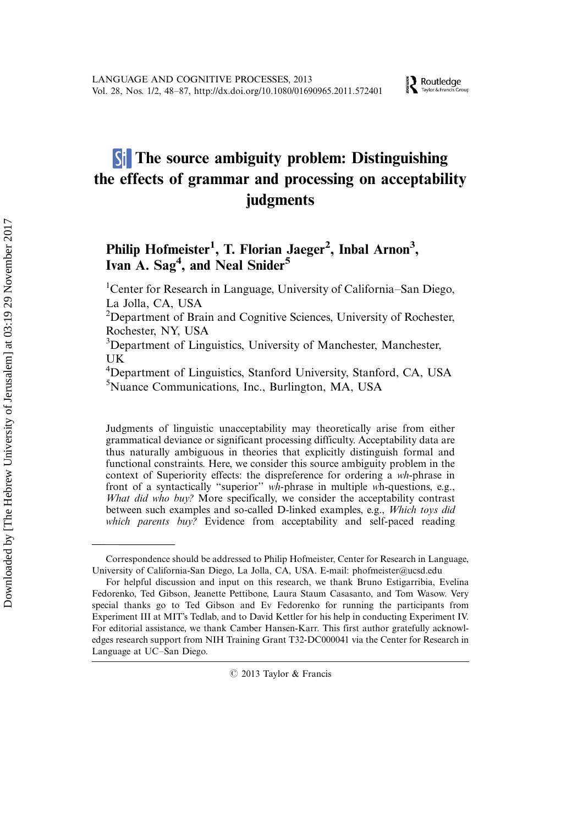## **Si** The source ambiguity problem: Distinguishing the effects of grammar and processing on acceptability judgments

Routledge Taylor & Francis Group

## Philip Hofmeister<sup>1</sup>, T. Florian Jaeger<sup>2</sup>, Inbal Arnon<sup>3</sup>, Ivan A. Sag<sup>4</sup>, and Neal Snider<sup>5</sup>

<sup>1</sup>Center for Research in Language, University of California-San Diego, La Jolla, CA, USA

<sup>2</sup>Department of Brain and Cognitive Sciences, University of Rochester, Rochester, NY, USA

<sup>3</sup>Department of Linguistics, University of Manchester, Manchester, UK

4 Department of Linguistics, Stanford University, Stanford, CA, USA 5 Nuance Communications, Inc., Burlington, MA, USA

Judgments of linguistic unacceptability may theoretically arise from either grammatical deviance or significant processing difficulty. Acceptability data are thus naturally ambiguous in theories that explicitly distinguish formal and functional constraints. Here, we consider this source ambiguity problem in the context of Superiority effects: the dispreference for ordering a wh-phrase in front of a syntactically ''superior'' wh-phrase in multiple wh-questions, e.g., What did who buy? More specifically, we consider the acceptability contrast between such examples and so-called D-linked examples, e.g., Which toys did which parents buy? Evidence from acceptability and self-paced reading

© 2013 Taylor & Francis

Correspondence should be addressed to Philip Hofmeister, Center for Research in Language, University of California-San Diego, La Jolla, CA, USA. E-mail: phofmeister@ucsd.edu

For helpful discussion and input on this research, we thank Bruno Estigarribia, Evelina Fedorenko, Ted Gibson, Jeanette Pettibone, Laura Staum Casasanto, and Tom Wasow. Very special thanks go to Ted Gibson and Ev Fedorenko for running the participants from Experiment III at MIT's Tedlab, and to David Kettler for his help in conducting Experiment IV. For editorial assistance, we thank Camber Hansen-Karr. This first author gratefully acknowledges research support from NIH Training Grant T32-DC000041 via the Center for Research in Language at UC-San Diego.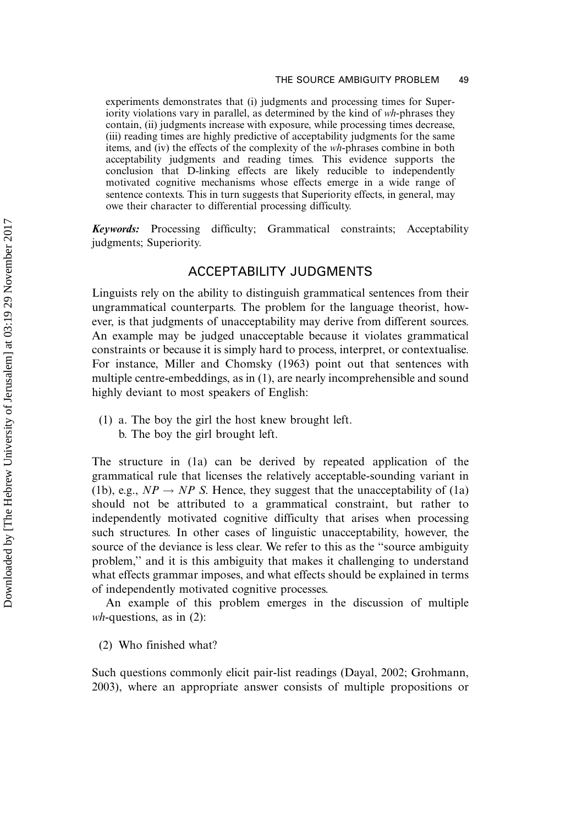experiments demonstrates that (i) judgments and processing times for Superiority violations vary in parallel, as determined by the kind of wh-phrases they contain, (ii) judgments increase with exposure, while processing times decrease, (iii) reading times are highly predictive of acceptability judgments for the same items, and (iv) the effects of the complexity of the wh-phrases combine in both acceptability judgments and reading times. This evidence supports the conclusion that D-linking effects are likely reducible to independently motivated cognitive mechanisms whose effects emerge in a wide range of sentence contexts. This in turn suggests that Superiority effects, in general, may owe their character to differential processing difficulty.

Keywords: Processing difficulty; Grammatical constraints; Acceptability judgments; Superiority.

## ACCEPTABILITY JUDGMENTS

Linguists rely on the ability to distinguish grammatical sentences from their ungrammatical counterparts. The problem for the language theorist, however, is that judgments of unacceptability may derive from different sources. An example may be judged unacceptable because it violates grammatical constraints or because it is simply hard to process, interpret, or contextualise. For instance, Miller and Chomsky (1963) point out that sentences with multiple centre-embeddings, as in (1), are nearly incomprehensible and sound highly deviant to most speakers of English:

- (1) a. The boy the girl the host knew brought left.
	- b. The boy the girl brought left.

The structure in (1a) can be derived by repeated application of the grammatical rule that licenses the relatively acceptable-sounding variant in (1b), e.g.,  $NP \rightarrow NP S$ . Hence, they suggest that the unacceptability of (1a) should not be attributed to a grammatical constraint, but rather to independently motivated cognitive difficulty that arises when processing such structures. In other cases of linguistic unacceptability, however, the source of the deviance is less clear. We refer to this as the ''source ambiguity problem,'' and it is this ambiguity that makes it challenging to understand what effects grammar imposes, and what effects should be explained in terms of independently motivated cognitive processes.

An example of this problem emerges in the discussion of multiple  $wh$ -questions, as in  $(2)$ :

(2) Who finished what?

Such questions commonly elicit pair-list readings (Dayal, 2002; Grohmann, 2003), where an appropriate answer consists of multiple propositions or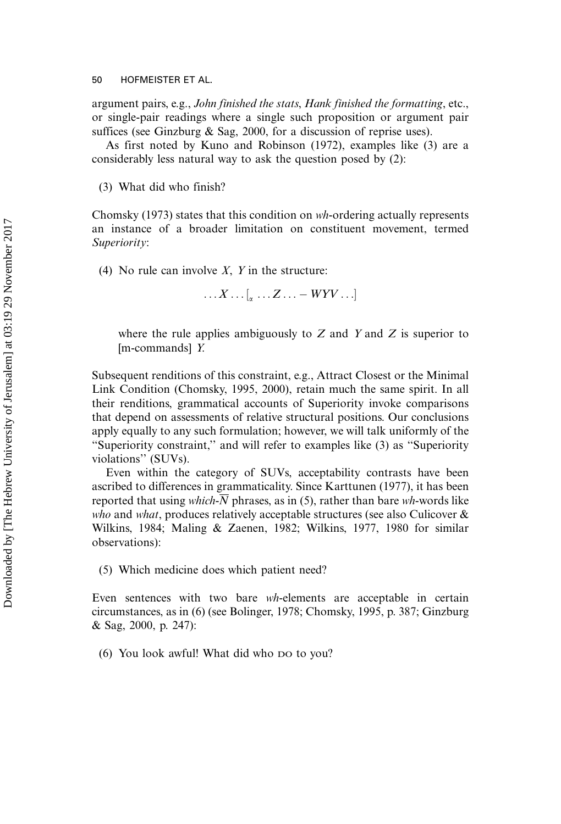argument pairs, e.g., John finished the stats, Hank finished the formatting, etc., or single-pair readings where a single such proposition or argument pair suffices (see Ginzburg & Sag, 2000, for a discussion of reprise uses).

As first noted by Kuno and Robinson (1972), examples like (3) are a considerably less natural way to ask the question posed by (2):

(3) What did who finish?

Chomsky (1973) states that this condition on wh-ordering actually represents an instance of a broader limitation on constituent movement, termed Superiority:

(4) No rule can involve  $X$ ,  $Y$  in the structure:

 $\ldots X \ldots [_{\alpha} \ldots Z \ldots - W Y V \ldots]$ 

where the rule applies ambiguously to  $Z$  and  $Y$  and  $Z$  is superior to [m-commands] Y.

Subsequent renditions of this constraint, e.g., Attract Closest or the Minimal Link Condition (Chomsky, 1995, 2000), retain much the same spirit. In all their renditions, grammatical accounts of Superiority invoke comparisons that depend on assessments of relative structural positions. Our conclusions apply equally to any such formulation; however, we will talk uniformly of the ''Superiority constraint,'' and will refer to examples like (3) as ''Superiority violations'' (SUVs).

Even within the category of SUVs, acceptability contrasts have been ascribed to differences in grammaticality. Since Karttunen (1977), it has been reported that using which- $\overline{N}$  phrases, as in (5), rather than bare wh-words like who and what, produces relatively acceptable structures (see also Culicover & Wilkins, 1984; Maling & Zaenen, 1982; Wilkins, 1977, 1980 for similar observations):

(5) Which medicine does which patient need?

Even sentences with two bare wh-elements are acceptable in certain circumstances, as in (6) (see Bolinger, 1978; Chomsky, 1995, p. 387; Ginzburg & Sag, 2000, p. 247):

(6) You look awful! What did who DO to you?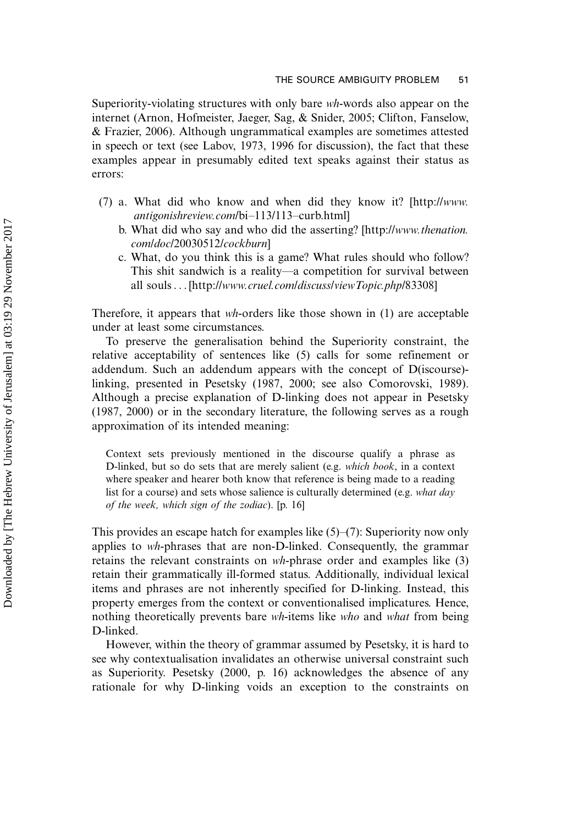Superiority-violating structures with only bare wh-words also appear on the internet (Arnon, Hofmeister, Jaeger, Sag, & Snider, 2005; Clifton, Fanselow, & Frazier, 2006). Although ungrammatical examples are sometimes attested in speech or text (see Labov, 1973, 1996 for discussion), the fact that these examples appear in presumably edited text speaks against their status as errors:

- (7) a. What did who know and when did they know it? [[http://](http://www.antigonishreview.com/bi-113/113-curb.html)www. [antigonishreview.com](http://www.antigonishreview.com/bi-113/113-curb.html)/bi-[113/113](http://www.antigonishreview.com/bi-113/113-curb.html)-[curb.html\]](http://www.antigonishreview.com/bi-113/113-curb.html)
	- b. What did who say and who did the asserting? [http://[www.thenation.](http://www.thenation.com/doc20030512/cockburn) com/doc[/20030512/](http://www.thenation.com/doc20030512/cockburn)cockburn]
	- c. What, do you think this is a game? What rules should who follow? This shit sandwich is a reality—a competition for survival between all souls... [http://[www.cruel.com](http://www.cruel.com/discuss/viewTopic.php/83308)/discuss/viewTopic.php/83308]

Therefore, it appears that wh-orders like those shown in (1) are acceptable under at least some circumstances.

To preserve the generalisation behind the Superiority constraint, the relative acceptability of sentences like (5) calls for some refinement or addendum. Such an addendum appears with the concept of D(iscourse) linking, presented in Pesetsky (1987, 2000; see also Comorovski, 1989). Although a precise explanation of D-linking does not appear in Pesetsky (1987, 2000) or in the secondary literature, the following serves as a rough approximation of its intended meaning:

Context sets previously mentioned in the discourse qualify a phrase as D-linked, but so do sets that are merely salient (e.g. which book, in a context where speaker and hearer both know that reference is being made to a reading list for a course) and sets whose salience is culturally determined (e.g. what day of the week, which sign of the zodiac). [p. 16]

This provides an escape hatch for examples like  $(5)-(7)$ : Superiority now only applies to wh-phrases that are non-D-linked. Consequently, the grammar retains the relevant constraints on wh-phrase order and examples like (3) retain their grammatically ill-formed status. Additionally, individual lexical items and phrases are not inherently specified for D-linking. Instead, this property emerges from the context or conventionalised implicatures. Hence, nothing theoretically prevents bare wh-items like who and what from being D-linked.

However, within the theory of grammar assumed by Pesetsky, it is hard to see why contextualisation invalidates an otherwise universal constraint such as Superiority. Pesetsky (2000, p. 16) acknowledges the absence of any rationale for why D-linking voids an exception to the constraints on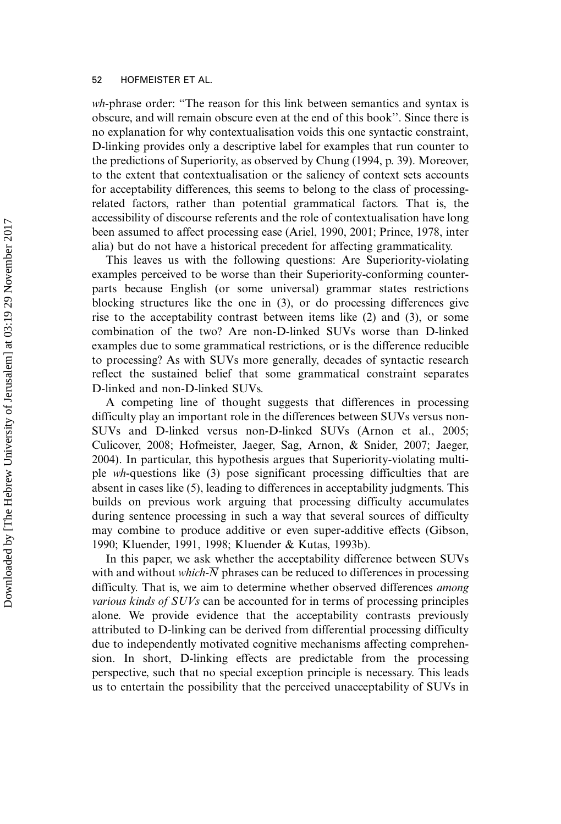wh-phrase order: "The reason for this link between semantics and syntax is obscure, and will remain obscure even at the end of this book''. Since there is no explanation for why contextualisation voids this one syntactic constraint, D-linking provides only a descriptive label for examples that run counter to the predictions of Superiority, as observed by Chung (1994, p. 39). Moreover, to the extent that contextualisation or the saliency of context sets accounts for acceptability differences, this seems to belong to the class of processingrelated factors, rather than potential grammatical factors. That is, the accessibility of discourse referents and the role of contextualisation have long been assumed to affect processing ease (Ariel, 1990, 2001; Prince, 1978, inter alia) but do not have a historical precedent for affecting grammaticality.

This leaves us with the following questions: Are Superiority-violating examples perceived to be worse than their Superiority-conforming counterparts because English (or some universal) grammar states restrictions blocking structures like the one in (3), or do processing differences give rise to the acceptability contrast between items like (2) and (3), or some combination of the two? Are non-D-linked SUVs worse than D-linked examples due to some grammatical restrictions, or is the difference reducible to processing? As with SUVs more generally, decades of syntactic research reflect the sustained belief that some grammatical constraint separates D-linked and non-D-linked SUVs.

A competing line of thought suggests that differences in processing difficulty play an important role in the differences between SUVs versus non-SUVs and D-linked versus non-D-linked SUVs (Arnon et al., 2005; Culicover, 2008; Hofmeister, Jaeger, Sag, Arnon, & Snider, 2007; Jaeger, 2004). In particular, this hypothesis argues that Superiority-violating multiple wh-questions like (3) pose significant processing difficulties that are absent in cases like (5), leading to differences in acceptability judgments. This builds on previous work arguing that processing difficulty accumulates during sentence processing in such a way that several sources of difficulty may combine to produce additive or even super-additive effects (Gibson, 1990; Kluender, 1991, 1998; Kluender & Kutas, 1993b).

In this paper, we ask whether the acceptability difference between SUVs with and without which- $\overline{N}$  phrases can be reduced to differences in processing difficulty. That is, we aim to determine whether observed differences *among* various kinds of SUVs can be accounted for in terms of processing principles alone. We provide evidence that the acceptability contrasts previously attributed to D-linking can be derived from differential processing difficulty due to independently motivated cognitive mechanisms affecting comprehension. In short, D-linking effects are predictable from the processing perspective, such that no special exception principle is necessary. This leads us to entertain the possibility that the perceived unacceptability of SUVs in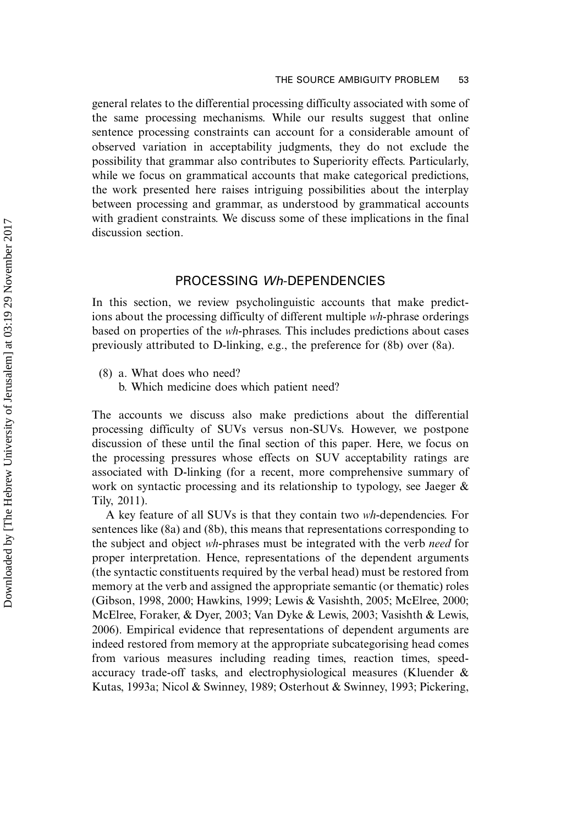general relates to the differential processing difficulty associated with some of the same processing mechanisms. While our results suggest that online sentence processing constraints can account for a considerable amount of observed variation in acceptability judgments, they do not exclude the possibility that grammar also contributes to Superiority effects. Particularly, while we focus on grammatical accounts that make categorical predictions, the work presented here raises intriguing possibilities about the interplay between processing and grammar, as understood by grammatical accounts with gradient constraints. We discuss some of these implications in the final discussion section.

## PROCESSING Wh-DEPENDENCIES

In this section, we review psycholinguistic accounts that make predictions about the processing difficulty of different multiple wh-phrase orderings based on properties of the wh-phrases. This includes predictions about cases previously attributed to D-linking, e.g., the preference for (8b) over (8a).

- (8) a. What does who need?
	- b. Which medicine does which patient need?

The accounts we discuss also make predictions about the differential processing difficulty of SUVs versus non-SUVs. However, we postpone discussion of these until the final section of this paper. Here, we focus on the processing pressures whose effects on SUV acceptability ratings are associated with D-linking (for a recent, more comprehensive summary of work on syntactic processing and its relationship to typology, see Jaeger & Tily, 2011).

A key feature of all SUVs is that they contain two wh-dependencies. For sentences like (8a) and (8b), this means that representations corresponding to the subject and object wh-phrases must be integrated with the verb need for proper interpretation. Hence, representations of the dependent arguments (the syntactic constituents required by the verbal head) must be restored from memory at the verb and assigned the appropriate semantic (or thematic) roles (Gibson, 1998, 2000; Hawkins, 1999; Lewis & Vasishth, 2005; McElree, 2000; McElree, Foraker, & Dyer, 2003; Van Dyke & Lewis, 2003; Vasishth & Lewis, 2006). Empirical evidence that representations of dependent arguments are indeed restored from memory at the appropriate subcategorising head comes from various measures including reading times, reaction times, speedaccuracy trade-off tasks, and electrophysiological measures (Kluender & Kutas, 1993a; Nicol & Swinney, 1989; Osterhout & Swinney, 1993; Pickering,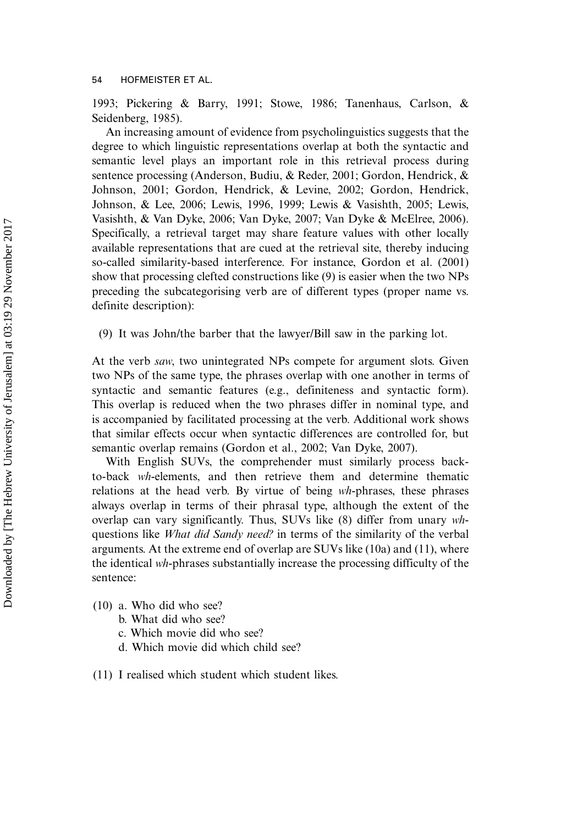1993; Pickering & Barry, 1991; Stowe, 1986; Tanenhaus, Carlson, & Seidenberg, 1985).

An increasing amount of evidence from psycholinguistics suggests that the degree to which linguistic representations overlap at both the syntactic and semantic level plays an important role in this retrieval process during sentence processing (Anderson, Budiu, & Reder, 2001; Gordon, Hendrick, & Johnson, 2001; Gordon, Hendrick, & Levine, 2002; Gordon, Hendrick, Johnson, & Lee, 2006; Lewis, 1996, 1999; Lewis & Vasishth, 2005; Lewis, Vasishth, & Van Dyke, 2006; Van Dyke, 2007; Van Dyke & McElree, 2006). Specifically, a retrieval target may share feature values with other locally available representations that are cued at the retrieval site, thereby inducing so-called similarity-based interference. For instance, Gordon et al. (2001) show that processing clefted constructions like (9) is easier when the two NPs preceding the subcategorising verb are of different types (proper name vs. definite description):

(9) It was John/the barber that the lawyer/Bill saw in the parking lot.

At the verb saw, two unintegrated NPs compete for argument slots. Given two NPs of the same type, the phrases overlap with one another in terms of syntactic and semantic features (e.g., definiteness and syntactic form). This overlap is reduced when the two phrases differ in nominal type, and is accompanied by facilitated processing at the verb. Additional work shows that similar effects occur when syntactic differences are controlled for, but semantic overlap remains (Gordon et al., 2002; Van Dyke, 2007).

With English SUVs, the comprehender must similarly process backto-back wh-elements, and then retrieve them and determine thematic relations at the head verb. By virtue of being wh-phrases, these phrases always overlap in terms of their phrasal type, although the extent of the overlap can vary significantly. Thus, SUVs like (8) differ from unary whquestions like *What did Sandy need?* in terms of the similarity of the verbal arguments. At the extreme end of overlap are SUVs like (10a) and (11), where the identical wh-phrases substantially increase the processing difficulty of the sentence:

- (10) a. Who did who see?
	- b. What did who see?
	- c. Which movie did who see?
	- d. Which movie did which child see?
- (11) I realised which student which student likes.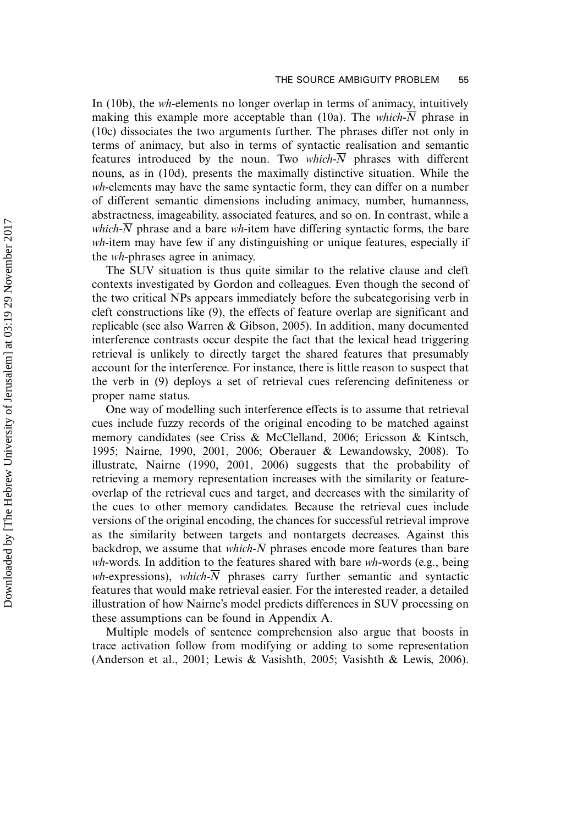In (10b), the wh-elements no longer overlap in terms of animacy, intuitively making this example more acceptable than (10a). The which- $\overline{N}$  phrase in (10c) dissociates the two arguments further. The phrases differ not only in terms of animacy, but also in terms of syntactic realisation and semantic features introduced by the noun. Two which- $\overline{N}$  phrases with different nouns, as in (10d), presents the maximally distinctive situation. While the wh-elements may have the same syntactic form, they can differ on a number of different semantic dimensions including animacy, number, humanness, abstractness, imageability, associated features, and so on. In contrast, while a which- $\overline{N}$  phrase and a bare wh-item have differing syntactic forms, the bare wh-item may have few if any distinguishing or unique features, especially if the wh-phrases agree in animacy.

The SUV situation is thus quite similar to the relative clause and cleft contexts investigated by Gordon and colleagues. Even though the second of the two critical NPs appears immediately before the subcategorising verb in cleft constructions like (9), the effects of feature overlap are significant and replicable (see also Warren & Gibson, 2005). In addition, many documented interference contrasts occur despite the fact that the lexical head triggering retrieval is unlikely to directly target the shared features that presumably account for the interference. For instance, there is little reason to suspect that the verb in (9) deploys a set of retrieval cues referencing definiteness or proper name status.

One way of modelling such interference effects is to assume that retrieval cues include fuzzy records of the original encoding to be matched against memory candidates (see Criss & McClelland, 2006; Ericsson & Kintsch, 1995; Nairne, 1990, 2001, 2006; Oberauer & Lewandowsky, 2008). To illustrate, Nairne (1990, 2001, 2006) suggests that the probability of retrieving a memory representation increases with the similarity or featureoverlap of the retrieval cues and target, and decreases with the similarity of the cues to other memory candidates. Because the retrieval cues include versions of the original encoding, the chances for successful retrieval improve as the similarity between targets and nontargets decreases. Against this backdrop, we assume that which- $\overline{N}$  phrases encode more features than bare wh-words. In addition to the features shared with bare wh-words (e.g., being wh-expressions), which- $\overline{N}$  phrases carry further semantic and syntactic features that would make retrieval easier. For the interested reader, a detailed illustration of how Nairne's model predicts differences in SUV processing on these assumptions can be found in Appendix A.

Multiple models of sentence comprehension also argue that boosts in trace activation follow from modifying or adding to some representation (Anderson et al., 2001; Lewis & Vasishth, 2005; Vasishth & Lewis, 2006).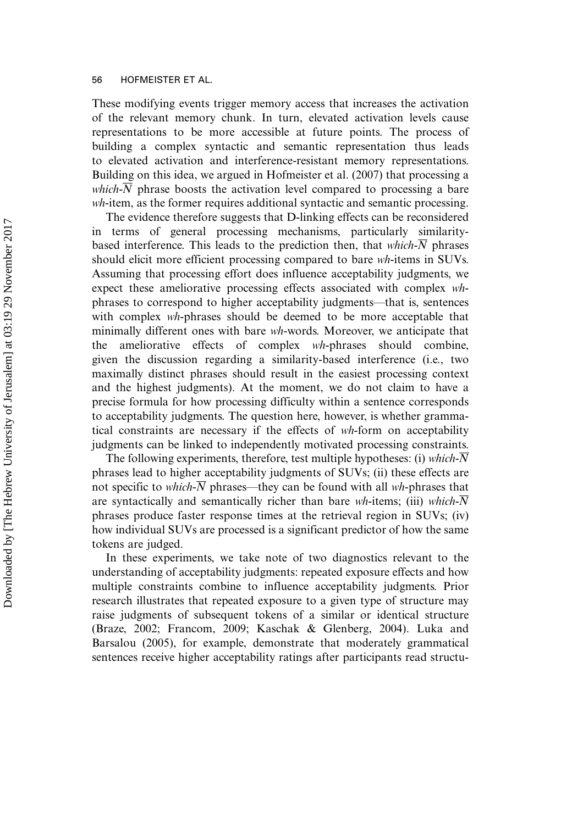These modifying events trigger memory access that increases the activation of the relevant memory chunk. In turn, elevated activation levels cause representations to be more accessible at future points. The process of building a complex syntactic and semantic representation thus leads to elevated activation and interference-resistant memory representations. Building on this idea, we argued in Hofmeister et al. (2007) that processing a which- $\overline{N}$  phrase boosts the activation level compared to processing a bare wh-item, as the former requires additional syntactic and semantic processing.

The evidence therefore suggests that D-linking effects can be reconsidered in terms of general processing mechanisms, particularly similaritybased interference. This leads to the prediction then, that which- $\overline{N}$  phrases should elicit more efficient processing compared to bare wh-items in SUVs. Assuming that processing effort does influence acceptability judgments, we expect these ameliorative processing effects associated with complex whphrases to correspond to higher acceptability judgments-that is, sentences with complex  $wh$ -phrases should be deemed to be more acceptable that minimally different ones with bare wh-words. Moreover, we anticipate that the ameliorative effects of complex wh-phrases should combine, given the discussion regarding a similarity-based interference (i.e., two maximally distinct phrases should result in the easiest processing context and the highest judgments). At the moment, we do not claim to have a precise formula for how processing difficulty within a sentence corresponds to acceptability judgments. The question here, however, is whether grammatical constraints are necessary if the effects of wh-form on acceptability judgments can be linked to independently motivated processing constraints.

The following experiments, therefore, test multiple hypotheses: (i) which- $\overline{N}$ phrases lead to higher acceptability judgments of SUVs; (ii) these effects are not specific to *which-N* phrases—they can be found with all wh-phrases that are syntactically and semantically richer than bare wh-items; (iii) which- $\overline{N}$ phrases produce faster response times at the retrieval region in SUVs; (iv) how individual SUVs are processed is a significant predictor of how the same tokens are judged.

In these experiments, we take note of two diagnostics relevant to the understanding of acceptability judgments: repeated exposure effects and how multiple constraints combine to influence acceptability judgments. Prior research illustrates that repeated exposure to a given type of structure may raise judgments of subsequent tokens of a similar or identical structure (Braze, 2002; Francom, 2009; Kaschak & Glenberg, 2004). Luka and Barsalou (2005), for example, demonstrate that moderately grammatical sentences receive higher acceptability ratings after participants read structu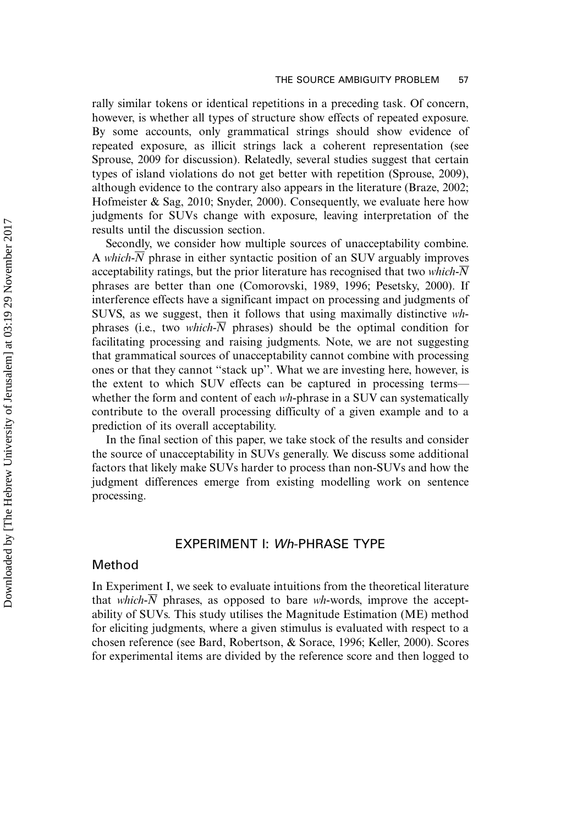rally similar tokens or identical repetitions in a preceding task. Of concern, however, is whether all types of structure show effects of repeated exposure. By some accounts, only grammatical strings should show evidence of repeated exposure, as illicit strings lack a coherent representation (see Sprouse, 2009 for discussion). Relatedly, several studies suggest that certain types of island violations do not get better with repetition (Sprouse, 2009), although evidence to the contrary also appears in the literature (Braze, 2002; Hofmeister & Sag, 2010; Snyder, 2000). Consequently, we evaluate here how judgments for SUVs change with exposure, leaving interpretation of the results until the discussion section.

Secondly, we consider how multiple sources of unacceptability combine. A *which*- $\overline{N}$  phrase in either syntactic position of an SUV arguably improves acceptability ratings, but the prior literature has recognised that two which- $\overline{N}$ phrases are better than one (Comorovski, 1989, 1996; Pesetsky, 2000). If interference effects have a significant impact on processing and judgments of SUVS, as we suggest, then it follows that using maximally distinctive whphrases (i.e., two which- $\overline{N}$  phrases) should be the optimal condition for facilitating processing and raising judgments. Note, we are not suggesting that grammatical sources of unacceptability cannot combine with processing ones or that they cannot ''stack up''. What we are investing here, however, is the extent to which SUV effects can be captured in processing terms whether the form and content of each *wh*-phrase in a SUV can systematically contribute to the overall processing difficulty of a given example and to a prediction of its overall acceptability.

In the final section of this paper, we take stock of the results and consider the source of unacceptability in SUVs generally. We discuss some additional factors that likely make SUVs harder to process than non-SUVs and how the judgment differences emerge from existing modelling work on sentence processing.

## EXPERIMENT I: Wh-PHRASE TYPE

## Method

In Experiment I, we seek to evaluate intuitions from the theoretical literature that which- $\overline{N}$  phrases, as opposed to bare wh-words, improve the acceptability of SUVs. This study utilises the Magnitude Estimation (ME) method for eliciting judgments, where a given stimulus is evaluated with respect to a chosen reference (see Bard, Robertson, & Sorace, 1996; Keller, 2000). Scores for experimental items are divided by the reference score and then logged to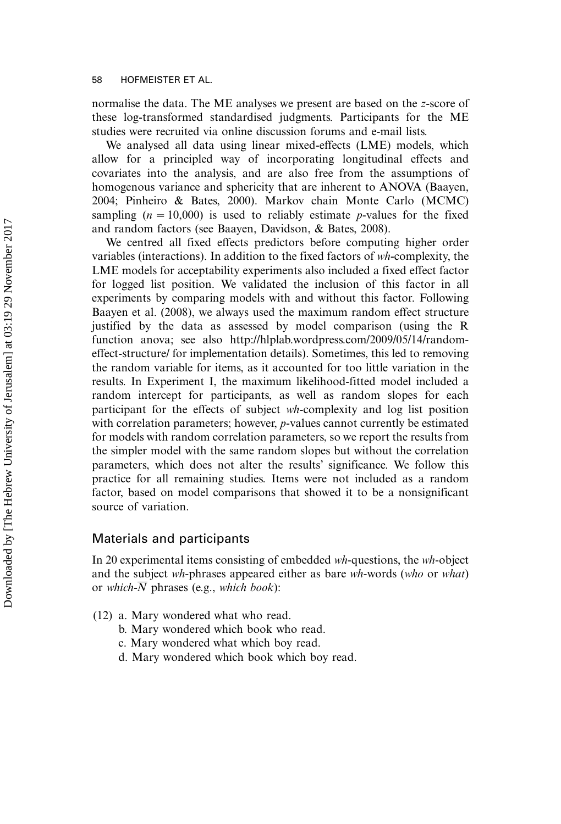normalise the data. The ME analyses we present are based on the z-score of these log-transformed standardised judgments. Participants for the ME studies were recruited via online discussion forums and e-mail lists.

We analysed all data using linear mixed-effects (LME) models, which allow for a principled way of incorporating longitudinal effects and covariates into the analysis, and are also free from the assumptions of homogenous variance and sphericity that are inherent to ANOVA (Baayen, 2004; Pinheiro & Bates, 2000). Markov chain Monte Carlo (MCMC) sampling  $(n = 10,000)$  is used to reliably estimate p-values for the fixed and random factors (see Baayen, Davidson, & Bates, 2008).

We centred all fixed effects predictors before computing higher order variables (interactions). In addition to the fixed factors of wh-complexity, the LME models for acceptability experiments also included a fixed effect factor for logged list position. We validated the inclusion of this factor in all experiments by comparing models with and without this factor. Following Baayen et al. (2008), we always used the maximum random effect structure justified by the data as assessed by model comparison (using the R function anova; see also [http://hlplab.wordpress.com/2009/05/14/random](http://hlplab.wordpress.com/2009/05/14/random-effect-structure/)[effect-structure/](http://hlplab.wordpress.com/2009/05/14/random-effect-structure/) for implementation details). Sometimes, this led to removing the random variable for items, as it accounted for too little variation in the results. In Experiment I, the maximum likelihood-fitted model included a random intercept for participants, as well as random slopes for each participant for the effects of subject wh-complexity and log list position with correlation parameters; however, *p*-values cannot currently be estimated for models with random correlation parameters, so we report the results from the simpler model with the same random slopes but without the correlation parameters, which does not alter the results' significance. We follow this practice for all remaining studies. Items were not included as a random factor, based on model comparisons that showed it to be a nonsignificant source of variation.

## Materials and participants

In 20 experimental items consisting of embedded wh-questions, the wh-object and the subject wh-phrases appeared either as bare wh-words (who or what) or which-N phrases (e.g., which book):

- (12) a. Mary wondered what who read.
	- b. Mary wondered which book who read.
	- c. Mary wondered what which boy read.
	- d. Mary wondered which book which boy read.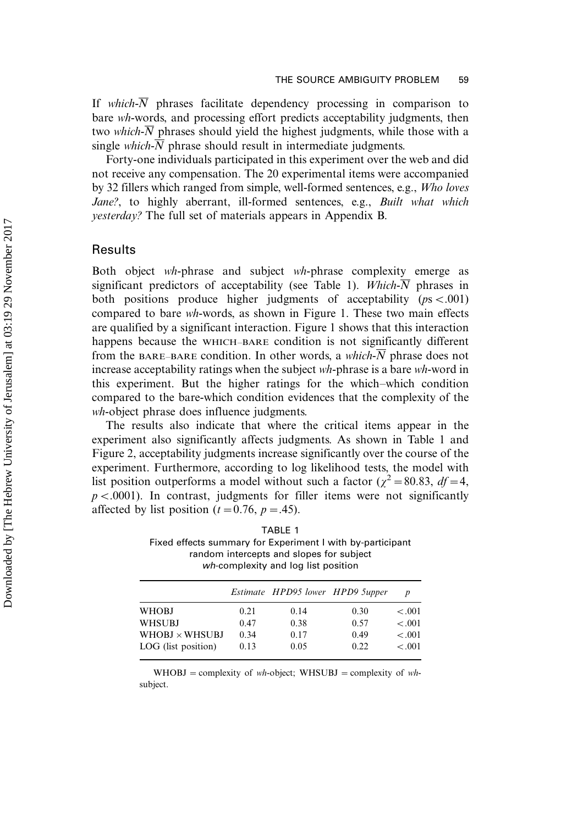If which- $\overline{N}$  phrases facilitate dependency processing in comparison to bare wh-words, and processing effort predicts acceptability judgments, then two which- $\overline{N}$  phrases should yield the highest judgments, while those with a single which- $\overline{N}$  phrase should result in intermediate judgments.

Forty-one individuals participated in this experiment over the web and did not receive any compensation. The 20 experimental items were accompanied by 32 fillers which ranged from simple, well-formed sentences, e.g., Who loves Jane?, to highly aberrant, ill-formed sentences, e.g., Built what which yesterday? The full set of materials appears in Appendix B.

## Results

Both object wh-phrase and subject wh-phrase complexity emerge as significant predictors of acceptability (see Table 1). Which- $\overline{N}$  phrases in both positions produce higher judgments of acceptability ( $ps < .001$ ) compared to bare wh-words, as shown in Figure 1. These two main effects are qualified by a significant interaction. Figure 1 shows that this interaction happens because the WHICH-BARE condition is not significantly different from the BARE-BARE condition. In other words, a which- $\overline{N}$  phrase does not increase acceptability ratings when the subject wh-phrase is a bare wh-word in this experiment. But the higher ratings for the which-which condition compared to the bare-which condition evidences that the complexity of the wh-object phrase does influence judgments.

The results also indicate that where the critical items appear in the experiment also significantly affects judgments. As shown in Table 1 and Figure 2, acceptability judgments increase significantly over the course of the experiment. Furthermore, according to log likelihood tests, the model with list position outperforms a model without such a factor ( $\chi^2$  = 80.83, df = 4,  $p < .0001$ ). In contrast, judgments for filler items were not significantly affected by list position ( $t=0.76$ ,  $p=.45$ ).

TABLE 1 Fixed effects summary for Experiment I with by-participant random intercepts and slopes for subject wh-complexity and log list position

|                       |      | Estimate HPD95 lower HPD9 5upper |      |         |
|-----------------------|------|----------------------------------|------|---------|
| WHOBJ                 | 0.21 | 0.14                             | 0.30 | $-.001$ |
| <b>WHSUBJ</b>         | 0.47 | 0.38                             | 0.57 | < .001  |
| WHOBJ $\times$ WHSUBJ | 0.34 | 0.17                             | 0.49 | $-.001$ |
| LOG (list position)   | 0.13 | 0.05                             | 0.22 | $-.001$ |

 $WHOBJ = complexity of wh-object; WHSUBJ = complexity of wh$ subject.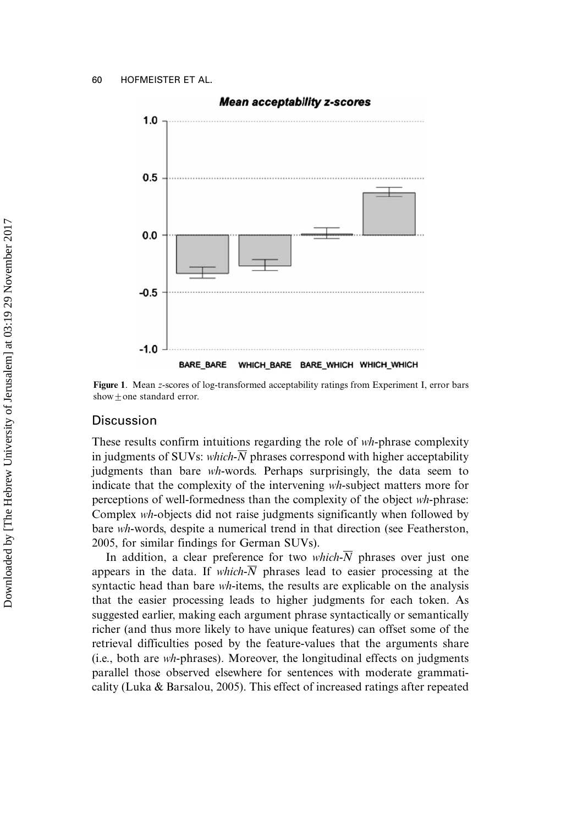

Figure 1. Mean z-scores of log-transformed acceptability ratings from Experiment I, error bars show  $\pm$  one standard error.

## Discussion

These results confirm intuitions regarding the role of wh-phrase complexity in judgments of SUVs: which- $\overline{N}$  phrases correspond with higher acceptability judgments than bare wh-words. Perhaps surprisingly, the data seem to indicate that the complexity of the intervening wh-subject matters more for perceptions of well-formedness than the complexity of the object wh-phrase: Complex wh-objects did not raise judgments significantly when followed by bare wh-words, despite a numerical trend in that direction (see Featherston, 2005, for similar findings for German SUVs).

In addition, a clear preference for two which- $\overline{N}$  phrases over just one appears in the data. If which-N phrases lead to easier processing at the syntactic head than bare *wh*-items, the results are explicable on the analysis that the easier processing leads to higher judgments for each token. As suggested earlier, making each argument phrase syntactically or semantically richer (and thus more likely to have unique features) can offset some of the retrieval difficulties posed by the feature-values that the arguments share (i.e., both are wh-phrases). Moreover, the longitudinal effects on judgments parallel those observed elsewhere for sentences with moderate grammaticality (Luka & Barsalou, 2005). This effect of increased ratings after repeated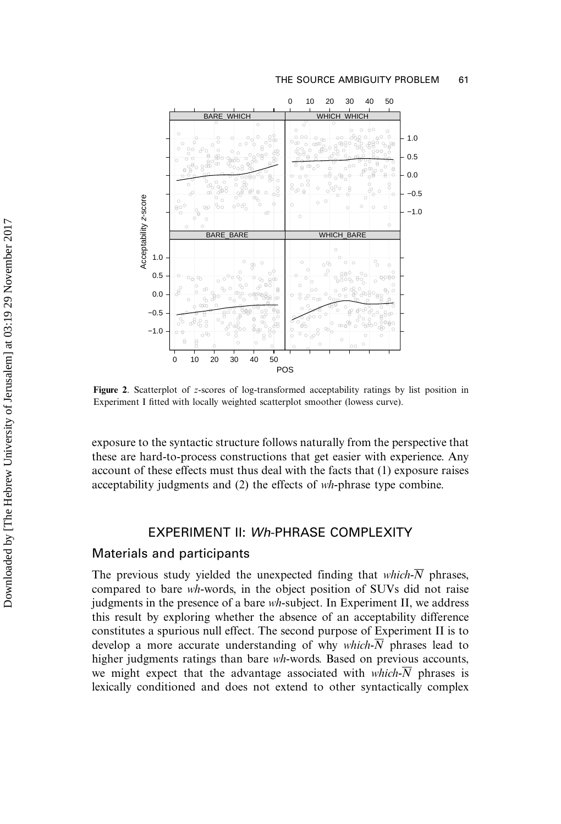

Figure 2. Scatterplot of z-scores of log-transformed acceptability ratings by list position in Experiment I fitted with locally weighted scatterplot smoother (lowess curve).

exposure to the syntactic structure follows naturally from the perspective that these are hard-to-process constructions that get easier with experience. Any account of these effects must thus deal with the facts that (1) exposure raises acceptability judgments and (2) the effects of wh-phrase type combine.

## EXPERIMENT II: Wh-PHRASE COMPLEXITY

## Materials and participants

The previous study yielded the unexpected finding that which- $\overline{N}$  phrases, compared to bare wh-words, in the object position of SUVs did not raise judgments in the presence of a bare wh-subject. In Experiment II, we address this result by exploring whether the absence of an acceptability difference constitutes a spurious null effect. The second purpose of Experiment II is to develop a more accurate understanding of why which- $\overline{N}$  phrases lead to higher judgments ratings than bare wh-words. Based on previous accounts, we might expect that the advantage associated with which- $\overline{N}$  phrases is lexically conditioned and does not extend to other syntactically complex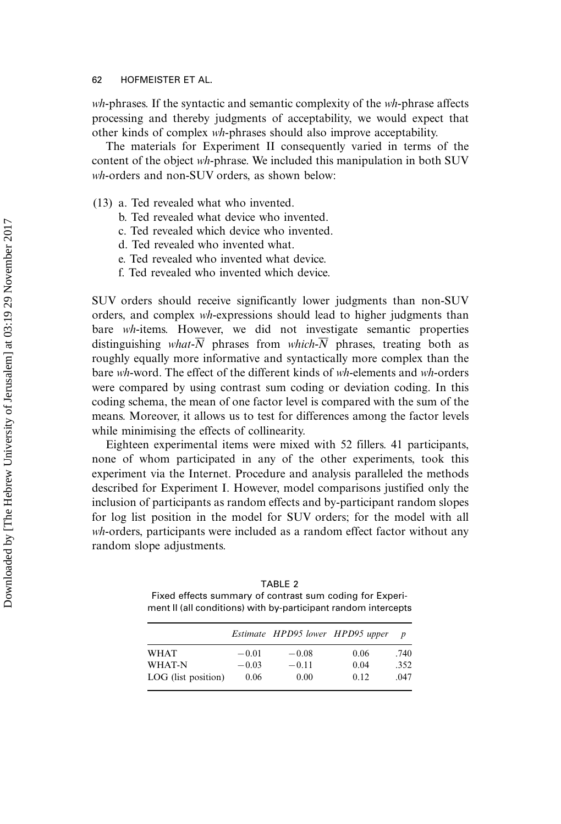wh-phrases. If the syntactic and semantic complexity of the wh-phrase affects processing and thereby judgments of acceptability, we would expect that other kinds of complex wh-phrases should also improve acceptability.

The materials for Experiment II consequently varied in terms of the content of the object wh-phrase. We included this manipulation in both SUV wh-orders and non-SUV orders, as shown below:

- (13) a. Ted revealed what who invented.
	- b. Ted revealed what device who invented.
	- c. Ted revealed which device who invented.
	- d. Ted revealed who invented what.
	- e. Ted revealed who invented what device.
	- f. Ted revealed who invented which device.

SUV orders should receive significantly lower judgments than non-SUV orders, and complex wh-expressions should lead to higher judgments than bare wh-items. However, we did not investigate semantic properties distinguishing what- $\overline{N}$  phrases from which- $\overline{N}$  phrases, treating both as roughly equally more informative and syntactically more complex than the bare wh-word. The effect of the different kinds of wh-elements and wh-orders were compared by using contrast sum coding or deviation coding. In this coding schema, the mean of one factor level is compared with the sum of the means. Moreover, it allows us to test for differences among the factor levels while minimising the effects of collinearity.

Eighteen experimental items were mixed with 52 fillers. 41 participants, none of whom participated in any of the other experiments, took this experiment via the Internet. Procedure and analysis paralleled the methods described for Experiment I. However, model comparisons justified only the inclusion of participants as random effects and by-participant random slopes for log list position in the model for SUV orders; for the model with all wh-orders, participants were included as a random effect factor without any random slope adjustments.

|        |         | Estimate HPD95 lower HPD95 upper |      |      |
|--------|---------|----------------------------------|------|------|
| WHAT   | $-0.01$ | $-0.08$                          | 0.06 | .740 |
| WHAT-N | $-0.03$ | $-0.11$                          | 0.04 | .352 |

LOG (list position) 0.06 0.00 0.12 .047

TABLE 2 Fixed effects summary of contrast sum coding for Experiment II (all conditions) with by-participant random intercepts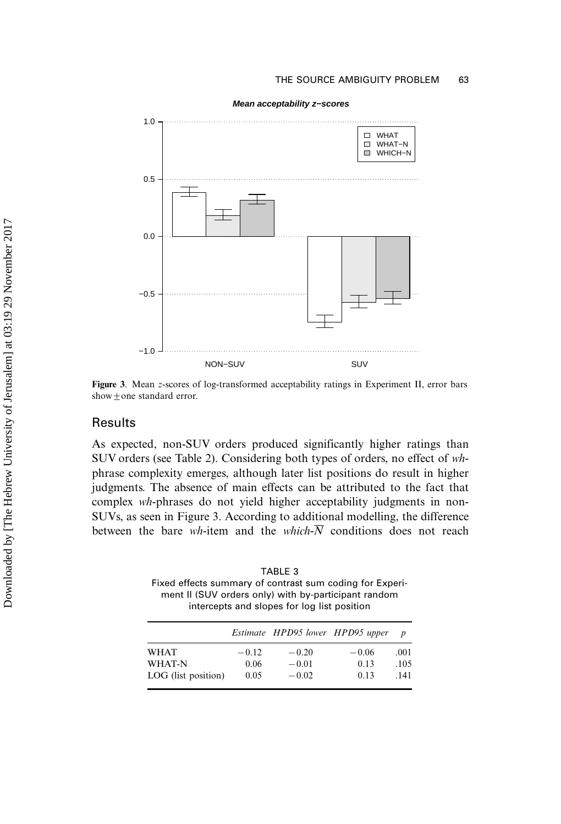

**Mean acceptability z−scores**

Figure 3. Mean z-scores of log-transformed acceptability ratings in Experiment II, error bars show  $+$  one standard error.

## Results

As expected, non-SUV orders produced significantly higher ratings than SUV orders (see Table 2). Considering both types of orders, no effect of whphrase complexity emerges, although later list positions do result in higher judgments. The absence of main effects can be attributed to the fact that complex wh-phrases do not yield higher acceptability judgments in non-SUVs, as seen in Figure 3. According to additional modelling, the difference between the bare wh-item and the which- $\overline{N}$  conditions does not reach

TABLE 3 Fixed effects summary of contrast sum coding for Experiment II (SUV orders only) with by-participant random intercepts and slopes for log list position

|                     |         | Estimate HPD95 lower HPD95 upper |         |      |
|---------------------|---------|----------------------------------|---------|------|
| <b>WHAT</b>         | $-0.12$ | $-0.20$                          | $-0.06$ | .001 |
| WHAT-N              | 0.06    | $-0.01$                          | 0.13    | .105 |
| LOG (list position) | 0.05    | $-0.02$                          | 0.13    | .141 |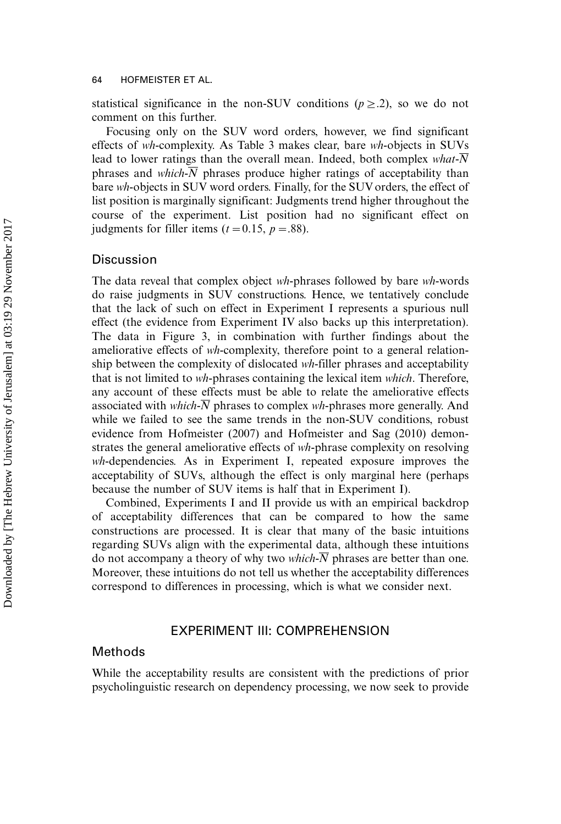statistical significance in the non-SUV conditions ( $p \ge 2$ ), so we do not comment on this further.

Focusing only on the SUV word orders, however, we find significant effects of wh-complexity. As Table 3 makes clear, bare wh-objects in SUVs lead to lower ratings than the overall mean. Indeed, both complex what- $\overline{N}$ phrases and which- $\overline{N}$  phrases produce higher ratings of acceptability than bare wh-objects in SUV word orders. Finally, for the SUV orders, the effect of list position is marginally significant: Judgments trend higher throughout the course of the experiment. List position had no significant effect on judgments for filler items ( $t=0.15$ ,  $p=.88$ ).

## **Discussion**

The data reveal that complex object wh-phrases followed by bare wh-words do raise judgments in SUV constructions. Hence, we tentatively conclude that the lack of such on effect in Experiment I represents a spurious null effect (the evidence from Experiment IV also backs up this interpretation). The data in Figure 3, in combination with further findings about the ameliorative effects of wh-complexity, therefore point to a general relationship between the complexity of dislocated wh-filler phrases and acceptability that is not limited to wh-phrases containing the lexical item which. Therefore, any account of these effects must be able to relate the ameliorative effects associated with *which*- $\overline{N}$  phrases to complex *wh*-phrases more generally. And while we failed to see the same trends in the non-SUV conditions, robust evidence from Hofmeister (2007) and Hofmeister and Sag (2010) demonstrates the general ameliorative effects of wh-phrase complexity on resolving wh-dependencies. As in Experiment I, repeated exposure improves the acceptability of SUVs, although the effect is only marginal here (perhaps because the number of SUV items is half that in Experiment I).

Combined, Experiments I and II provide us with an empirical backdrop of acceptability differences that can be compared to how the same constructions are processed. It is clear that many of the basic intuitions regarding SUVs align with the experimental data, although these intuitions do not accompany a theory of why two *which*- $\overline{N}$  phrases are better than one. Moreover, these intuitions do not tell us whether the acceptability differences correspond to differences in processing, which is what we consider next.

## EXPERIMENT III: COMPREHENSION

## **Methods**

While the acceptability results are consistent with the predictions of prior psycholinguistic research on dependency processing, we now seek to provide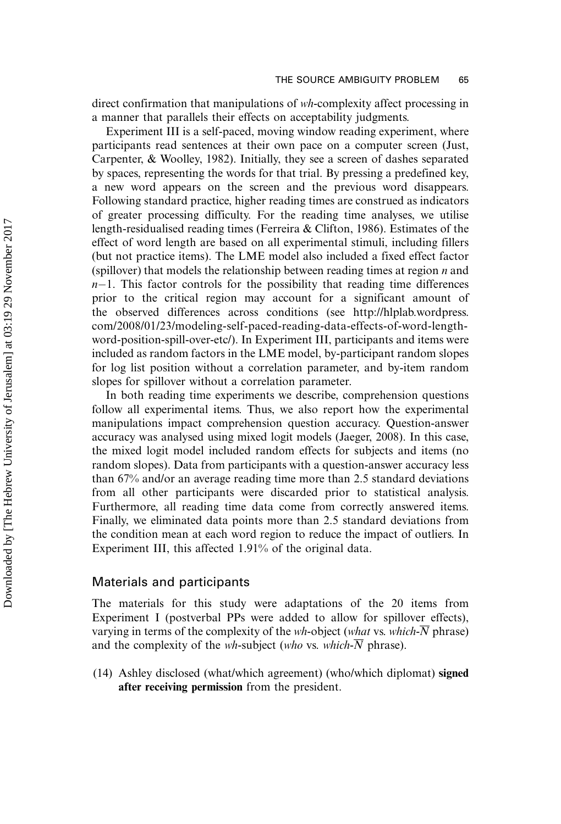direct confirmation that manipulations of wh-complexity affect processing in a manner that parallels their effects on acceptability judgments.

Experiment III is a self-paced, moving window reading experiment, where participants read sentences at their own pace on a computer screen (Just, Carpenter, & Woolley, 1982). Initially, they see a screen of dashes separated by spaces, representing the words for that trial. By pressing a predefined key, a new word appears on the screen and the previous word disappears. Following standard practice, higher reading times are construed as indicators of greater processing difficulty. For the reading time analyses, we utilise length-residualised reading times (Ferreira & Clifton, 1986). Estimates of the effect of word length are based on all experimental stimuli, including fillers (but not practice items). The LME model also included a fixed effect factor (spillover) that models the relationship between reading times at region  $n$  and  $n-1$ . This factor controls for the possibility that reading time differences prior to the critical region may account for a significant amount of the observed differences across conditions (see [http://hlplab.wordpress.](http://hlplab.wordpress.com/2008/01/23/modeling-self-paced-reading-data-effects-of-word-length-word-position-spill-over-etc/) [com/2008/01/23/modeling-self-paced-reading-data-effects-of-word-length](http://hlplab.wordpress.com/2008/01/23/modeling-self-paced-reading-data-effects-of-word-length-word-position-spill-over-etc/)[word-position-spill-over-etc/\)](http://hlplab.wordpress.com/2008/01/23/modeling-self-paced-reading-data-effects-of-word-length-word-position-spill-over-etc/). In Experiment III, participants and items were included as random factors in the LME model, by-participant random slopes for log list position without a correlation parameter, and by-item random slopes for spillover without a correlation parameter.

In both reading time experiments we describe, comprehension questions follow all experimental items. Thus, we also report how the experimental manipulations impact comprehension question accuracy. Question-answer accuracy was analysed using mixed logit models (Jaeger, 2008). In this case, the mixed logit model included random effects for subjects and items (no random slopes). Data from participants with a question-answer accuracy less than 67% and/or an average reading time more than 2.5 standard deviations from all other participants were discarded prior to statistical analysis. Furthermore, all reading time data come from correctly answered items. Finally, we eliminated data points more than 2.5 standard deviations from the condition mean at each word region to reduce the impact of outliers. In Experiment III, this affected 1.91% of the original data.

## Materials and participants

The materials for this study were adaptations of the 20 items from Experiment I (postverbal PPs were added to allow for spillover effects), varying in terms of the complexity of the wh-object (what vs. which- $\overline{N}$  phrase) and the complexity of the wh-subject (who vs. which-N phrase).

(14) Ashley disclosed (what/which agreement) (who/which diplomat) signed after receiving permission from the president.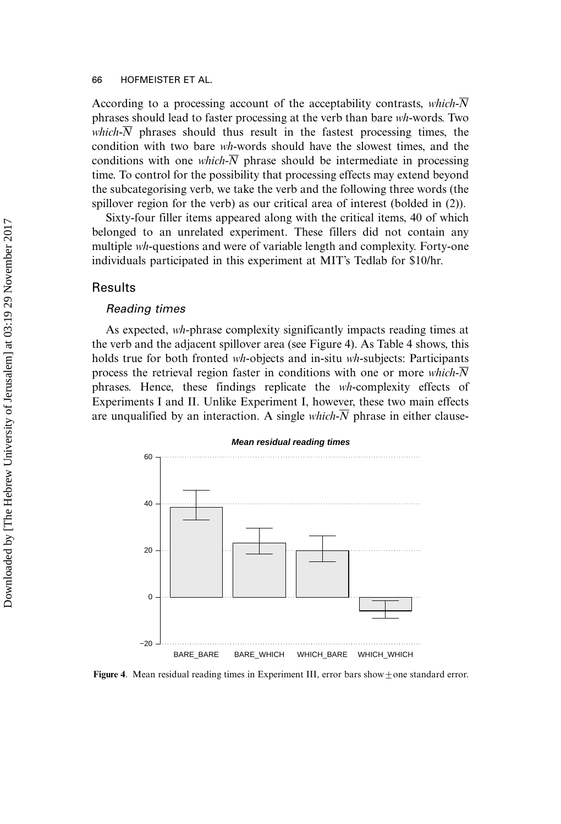According to a processing account of the acceptability contrasts, which- $\overline{N}$ phrases should lead to faster processing at the verb than bare wh-words. Two which- $\overline{N}$  phrases should thus result in the fastest processing times, the condition with two bare wh-words should have the slowest times, and the conditions with one which- $\overline{N}$  phrase should be intermediate in processing time. To control for the possibility that processing effects may extend beyond the subcategorising verb, we take the verb and the following three words (the spillover region for the verb) as our critical area of interest (bolded in (2)).

Sixty-four filler items appeared along with the critical items, 40 of which belonged to an unrelated experiment. These fillers did not contain any multiple wh-questions and were of variable length and complexity. Forty-one individuals participated in this experiment at MIT's Tedlab for \$10/hr.

## Results

#### Reading times

As expected, wh-phrase complexity significantly impacts reading times at the verb and the adjacent spillover area (see Figure 4). As Table 4 shows, this holds true for both fronted wh-objects and in-situ wh-subjects: Participants process the retrieval region faster in conditions with one or more which- $\overline{N}$ phrases. Hence, these findings replicate the wh-complexity effects of Experiments I and II. Unlike Experiment I, however, these two main effects are unqualified by an interaction. A single which- $\overline{N}$  phrase in either clause-



**Mean residual reading times**

Figure 4. Mean residual reading times in Experiment III, error bars show  $\pm$  one standard error.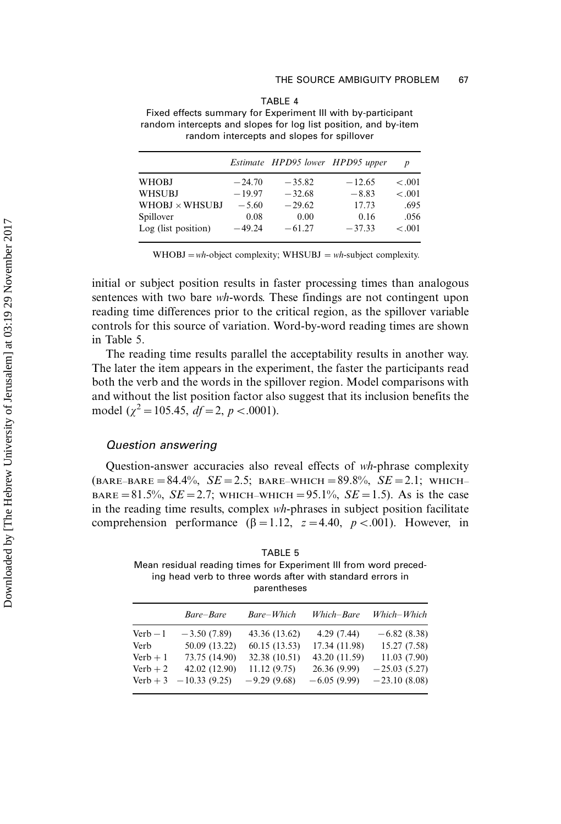|                     |          | Estimate HPD95 lower HPD95 upper |          | $\boldsymbol{p}$ |
|---------------------|----------|----------------------------------|----------|------------------|
| WHOBJ               | $-24.70$ | $-35.82$                         | $-12.65$ | < 0.001          |
| WHSUBJ              | $-19.97$ | $-32.68$                         | $-8.83$  | < 0.001          |
| WHOBJ × WHSUBJ      | $-5.60$  | $-29.62$                         | 17.73    | .695             |
| Spillover           | 0.08     | 0.00                             | 0.16     | .056             |
| Log (list position) | $-49.24$ | $-61.27$                         | $-37.33$ | $-.001$          |
|                     |          |                                  |          |                  |

TABLE 4

Fixed effects summary for Experiment III with by-participant random intercepts and slopes for log list position, and by-item random intercepts and slopes for spillover

 $WHOBJ = wh\text{-object complexity}; \text{WHSUBJ} = wh\text{-subject complexity}.$ 

initial or subject position results in faster processing times than analogous sentences with two bare wh-words. These findings are not contingent upon reading time differences prior to the critical region, as the spillover variable controls for this source of variation. Word-by-word reading times are shown in Table 5.

The reading time results parallel the acceptability results in another way. The later the item appears in the experiment, the faster the participants read both the verb and the words in the spillover region. Model comparisons with and without the list position factor also suggest that its inclusion benefits the model ( $\chi^2$  = 105.45, df = 2, p < 0.001).

## Question answering

Question-answer accuracies also reveal effects of wh-phrase complexity  $(BARE-BARE = 84.4\%, SE = 2.5; BARE-WHICH = 89.8\%, SE = 2.1; WHICH BARE = 81.5\%, SE = 2.7$ ; WHICH-WHICH = 95.1%,  $SE = 1.5$ ). As is the case in the reading time results, complex wh-phrases in subject position facilitate comprehension performance  $(\beta=1.12, z=4.40, p<.001)$ . However, in

TABLE 5 Mean residual reading times for Experiment III from word preceding head verb to three words after with standard errors in parentheses

|            | Bare-Bare      | Bare-Which    | Which-Bare    | Which-Which    |
|------------|----------------|---------------|---------------|----------------|
| $Verb - 1$ | $-3.50(7.89)$  | 43.36 (13.62) | 4.29(7.44)    | $-6.82(8.38)$  |
| Verb       | 50.09 (13.22)  | 60.15(13.53)  | 17.34 (11.98) | 15.27 (7.58)   |
| $Verb + 1$ | 73.75 (14.90)  | 32.38 (10.51) | 43.20 (11.59) | 11.03(7.90)    |
| $Verb + 2$ | 42.02 (12.90)  | 11.12(9.75)   | 26.36 (9.99)  | $-25.03(5.27)$ |
| $Verb + 3$ | $-10.33(9.25)$ | $-9.29(9.68)$ | $-6.05(9.99)$ | $-23.10(8.08)$ |
|            |                |               |               |                |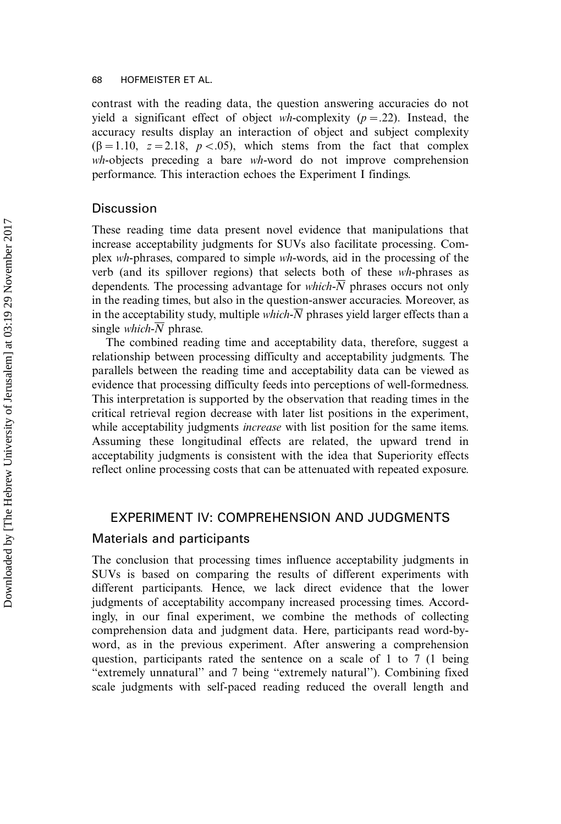contrast with the reading data, the question answering accuracies do not yield a significant effect of object wh-complexity ( $p = 22$ ). Instead, the accuracy results display an interaction of object and subject complexity  $(\beta=1.10, z=2.18, p<0.05)$ , which stems from the fact that complex wh-objects preceding a bare wh-word do not improve comprehension performance. This interaction echoes the Experiment I findings.

## Discussion

These reading time data present novel evidence that manipulations that increase acceptability judgments for SUVs also facilitate processing. Complex wh-phrases, compared to simple wh-words, aid in the processing of the verb (and its spillover regions) that selects both of these wh-phrases as dependents. The processing advantage for *which*- $\overline{N}$  phrases occurs not only in the reading times, but also in the question-answer accuracies. Moreover, as in the acceptability study, multiple which- $\overline{N}$  phrases yield larger effects than a single which- $\overline{N}$  phrase.

The combined reading time and acceptability data, therefore, suggest a relationship between processing difficulty and acceptability judgments. The parallels between the reading time and acceptability data can be viewed as evidence that processing difficulty feeds into perceptions of well-formedness. This interpretation is supported by the observation that reading times in the critical retrieval region decrease with later list positions in the experiment, while acceptability judgments *increase* with list position for the same items. Assuming these longitudinal effects are related, the upward trend in acceptability judgments is consistent with the idea that Superiority effects reflect online processing costs that can be attenuated with repeated exposure.

## EXPERIMENT IV: COMPREHENSION AND JUDGMENTS

## Materials and participants

The conclusion that processing times influence acceptability judgments in SUVs is based on comparing the results of different experiments with different participants. Hence, we lack direct evidence that the lower judgments of acceptability accompany increased processing times. Accordingly, in our final experiment, we combine the methods of collecting comprehension data and judgment data. Here, participants read word-byword, as in the previous experiment. After answering a comprehension question, participants rated the sentence on a scale of 1 to 7 (1 being "extremely unnatural" and 7 being "extremely natural"). Combining fixed scale judgments with self-paced reading reduced the overall length and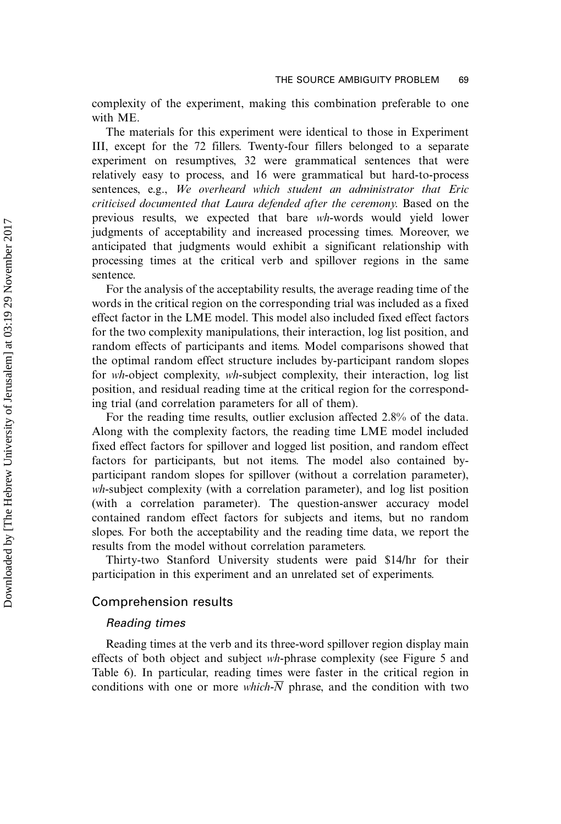complexity of the experiment, making this combination preferable to one with ME

The materials for this experiment were identical to those in Experiment III, except for the 72 fillers. Twenty-four fillers belonged to a separate experiment on resumptives, 32 were grammatical sentences that were relatively easy to process, and 16 were grammatical but hard-to-process sentences, e.g., We overheard which student an administrator that Eric criticised documented that Laura defended after the ceremony. Based on the previous results, we expected that bare wh-words would yield lower judgments of acceptability and increased processing times. Moreover, we anticipated that judgments would exhibit a significant relationship with processing times at the critical verb and spillover regions in the same sentence.

For the analysis of the acceptability results, the average reading time of the words in the critical region on the corresponding trial was included as a fixed effect factor in the LME model. This model also included fixed effect factors for the two complexity manipulations, their interaction, log list position, and random effects of participants and items. Model comparisons showed that the optimal random effect structure includes by-participant random slopes for wh-object complexity, wh-subject complexity, their interaction, log list position, and residual reading time at the critical region for the corresponding trial (and correlation parameters for all of them).

For the reading time results, outlier exclusion affected 2.8% of the data. Along with the complexity factors, the reading time LME model included fixed effect factors for spillover and logged list position, and random effect factors for participants, but not items. The model also contained byparticipant random slopes for spillover (without a correlation parameter), wh-subject complexity (with a correlation parameter), and log list position (with a correlation parameter). The question-answer accuracy model contained random effect factors for subjects and items, but no random slopes. For both the acceptability and the reading time data, we report the results from the model without correlation parameters.

Thirty-two Stanford University students were paid \$14/hr for their participation in this experiment and an unrelated set of experiments.

## Comprehension results

#### Reading times

Reading times at the verb and its three-word spillover region display main effects of both object and subject wh-phrase complexity (see Figure 5 and Table 6). In particular, reading times were faster in the critical region in conditions with one or more which- $\overline{N}$  phrase, and the condition with two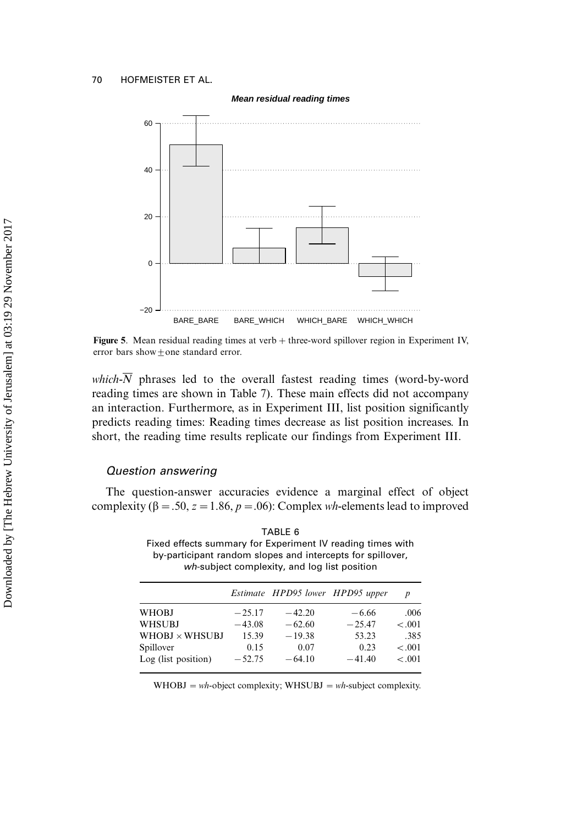

Figure 5. Mean residual reading times at verb  $+$  three-word spillover region in Experiment IV. error bars show $\pm$ one standard error.

which- $\overline{N}$  phrases led to the overall fastest reading times (word-by-word reading times are shown in Table 7). These main effects did not accompany an interaction. Furthermore, as in Experiment III, list position significantly predicts reading times: Reading times decrease as list position increases. In short, the reading time results replicate our findings from Experiment III.

## Question answering

The question-answer accuracies evidence a marginal effect of object complexity ( $\beta = .50$ ,  $z = 1.86$ ,  $p = .06$ ): Complex wh-elements lead to improved

TABLE 6 Fixed effects summary for Experiment IV reading times with by-participant random slopes and intercepts for spillover, wh-subject complexity, and log list position

|                       |          | Estimate HPD95 lower HPD95 upper |          | D      |
|-----------------------|----------|----------------------------------|----------|--------|
| WHOBJ                 | $-25.17$ | $-42.20$                         | $-6.66$  | .006   |
| <b>WHSUBJ</b>         | $-43.08$ | $-62.60$                         | $-25.47$ | < .001 |
| WHOBJ $\times$ WHSUBJ | 15.39    | $-19.38$                         | 53.23    | .385   |
| Spillover             | 0.15     | 0.07                             | 0.23     | < .001 |
| Log (list position)   | $-52.75$ | $-64.10$                         | $-41.40$ | < .001 |

 $WHOBJ = wh\text{-object complexity}; WHSUBJ = wh\text{-subject complexity}.$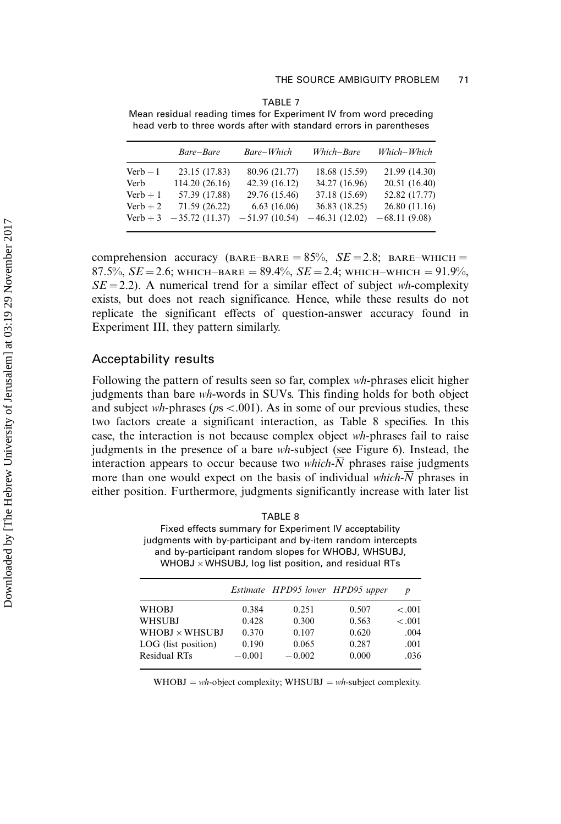|            | Bare-Bare       | Bare-Which      | Which-Bare      | Which-Which    |
|------------|-----------------|-----------------|-----------------|----------------|
| $Verb - 1$ | 23.15 (17.83)   | 80.96 (21.77)   | 18.68 (15.59)   | 21.99 (14.30)  |
| Verb       | 114.20 (26.16)  | 42.39 (16.12)   | 34.27 (16.96)   | 20.51 (16.40)  |
| $Verb + 1$ | 57.39 (17.88)   | 29.76 (15.46)   | 37.18 (15.69)   | 52.82 (17.77)  |
| $Verb + 2$ | 71.59 (26.22)   | 6.63(16.06)     | 36.83 (18.25)   | 26.80 (11.16)  |
| $Verb + 3$ | $-35.72(11.37)$ | $-51.97(10.54)$ | $-46.31(12.02)$ | $-68.11(9.08)$ |

TABLE 7 Mean residual reading times for Experiment IV from word preceding head verb to three words after with standard errors in parentheses

comprehension accuracy (BARE-BARE =  $85\%$ ,  $SE = 2.8$ ; BARE-WHICH = 87.5%,  $SE = 2.6$ ; WHICH-BARE = 89.4%,  $SE = 2.4$ ; WHICH-WHICH = 91.9%,  $SE = 2.2$ ). A numerical trend for a similar effect of subject wh-complexity exists, but does not reach significance. Hence, while these results do not replicate the significant effects of question-answer accuracy found in Experiment III, they pattern similarly.

## Acceptability results

Following the pattern of results seen so far, complex wh-phrases elicit higher judgments than bare wh-words in SUVs. This finding holds for both object and subject wh-phrases ( $ps < .001$ ). As in some of our previous studies, these two factors create a significant interaction, as Table 8 specifies. In this case, the interaction is not because complex object wh-phrases fail to raise judgments in the presence of a bare wh-subject (see Figure 6). Instead, the interaction appears to occur because two which- $\overline{N}$  phrases raise judgments more than one would expect on the basis of individual *which-N* phrases in either position. Furthermore, judgments significantly increase with later list

TABLE 8 Fixed effects summary for Experiment IV acceptability judgments with by-participant and by-item random intercepts and by-participant random slopes for WHOBJ, WHSUBJ, WHOBJ  $\times$  WHSUBJ, log list position, and residual RTs

|                     |          | Estimate HPD95 lower HPD95 upper |       | D      |
|---------------------|----------|----------------------------------|-------|--------|
| WHOBJ               | 0.384    | 0.251                            | 0.507 | < .001 |
| WHSUBJ              | 0.428    | 0.300                            | 0.563 | < .001 |
| WHOBJ × WHSUBJ      | 0.370    | 0.107                            | 0.620 | .004   |
| LOG (list position) | 0.190    | 0.065                            | 0.287 | .001   |
| Residual RTs        | $-0.001$ | $-0.002$                         | 0.000 | .036   |

 $WHOBJ = wh\text{-object complexity}; WHSUBJ = wh\text{-subject complexity}.$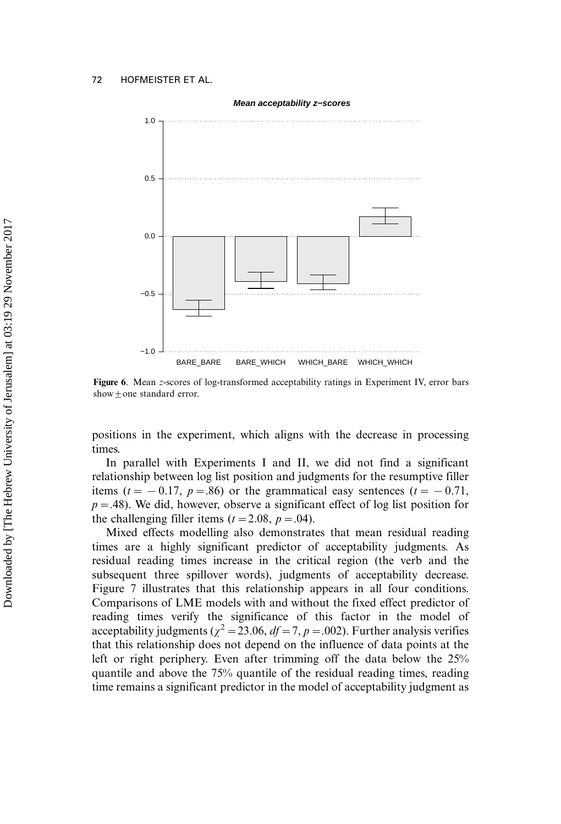

Figure 6. Mean z-scores of log-transformed acceptability ratings in Experiment IV, error bars show $\pm$  one standard error.

positions in the experiment, which aligns with the decrease in processing times.

In parallel with Experiments I and II, we did not find a significant relationship between log list position and judgments for the resumptive filler items ( $t = -0.17$ ,  $p = 0.86$ ) or the grammatical easy sentences ( $t = -0.71$ ,  $p = .48$ ). We did, however, observe a significant effect of log list position for the challenging filler items ( $t=2.08$ ,  $p=.04$ ).

Mixed effects modelling also demonstrates that mean residual reading times are a highly significant predictor of acceptability judgments. As residual reading times increase in the critical region (the verb and the subsequent three spillover words), judgments of acceptability decrease. Figure 7 illustrates that this relationship appears in all four conditions. Comparisons of LME models with and without the fixed effect predictor of reading times verify the significance of this factor in the model of acceptability judgments ( $\chi^2$  = 23.06,  $df$  = 7, p = .002). Further analysis verifies that this relationship does not depend on the influence of data points at the left or right periphery. Even after trimming off the data below the 25% quantile and above the 75% quantile of the residual reading times, reading time remains a significant predictor in the model of acceptability judgment as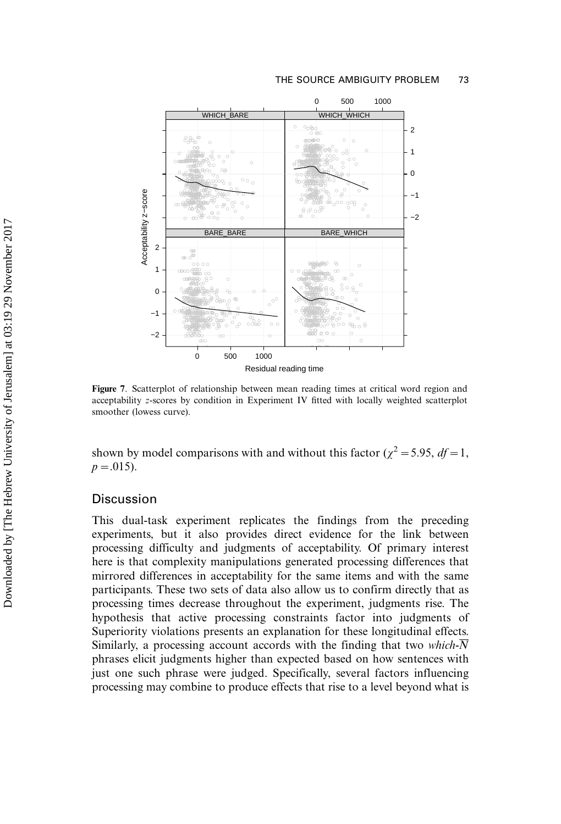

Figure 7. Scatterplot of relationship between mean reading times at critical word region and acceptability z-scores by condition in Experiment IV fitted with locally weighted scatterplot smoother (lowess curve).

shown by model comparisons with and without this factor ( $\chi^2$  = 5.95, df = 1,  $p = 0.015$ .

## **Discussion**

This dual-task experiment replicates the findings from the preceding experiments, but it also provides direct evidence for the link between processing difficulty and judgments of acceptability. Of primary interest here is that complexity manipulations generated processing differences that mirrored differences in acceptability for the same items and with the same participants. These two sets of data also allow us to confirm directly that as processing times decrease throughout the experiment, judgments rise. The hypothesis that active processing constraints factor into judgments of Superiority violations presents an explanation for these longitudinal effects. Similarly, a processing account accords with the finding that two which- $\overline{N}$ phrases elicit judgments higher than expected based on how sentences with just one such phrase were judged. Specifically, several factors influencing processing may combine to produce effects that rise to a level beyond what is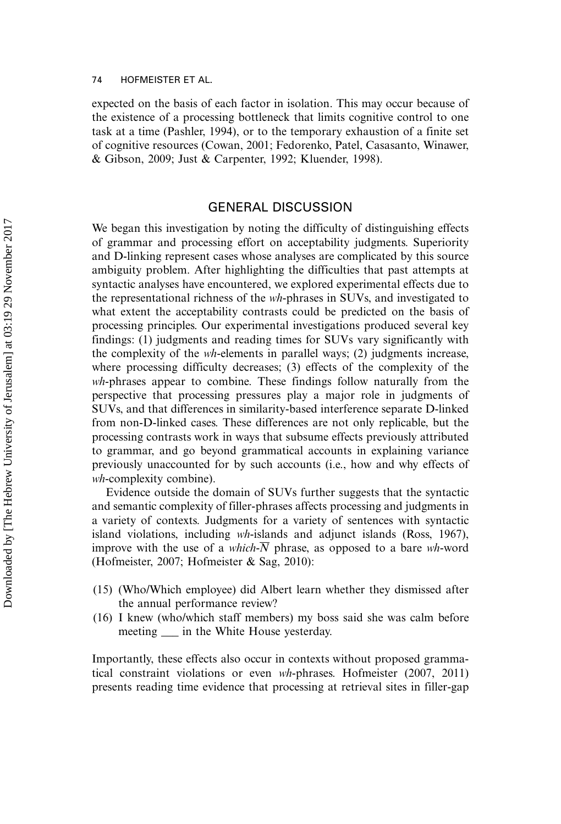expected on the basis of each factor in isolation. This may occur because of the existence of a processing bottleneck that limits cognitive control to one task at a time (Pashler, 1994), or to the temporary exhaustion of a finite set of cognitive resources (Cowan, 2001; Fedorenko, Patel, Casasanto, Winawer, & Gibson, 2009; Just & Carpenter, 1992; Kluender, 1998).

## GENERAL DISCUSSION

We began this investigation by noting the difficulty of distinguishing effects of grammar and processing effort on acceptability judgments. Superiority and D-linking represent cases whose analyses are complicated by this source ambiguity problem. After highlighting the difficulties that past attempts at syntactic analyses have encountered, we explored experimental effects due to the representational richness of the wh-phrases in SUVs, and investigated to what extent the acceptability contrasts could be predicted on the basis of processing principles. Our experimental investigations produced several key findings: (1) judgments and reading times for SUVs vary significantly with the complexity of the *wh*-elements in parallel ways;  $(2)$  judgments increase, where processing difficulty decreases; (3) effects of the complexity of the wh-phrases appear to combine. These findings follow naturally from the perspective that processing pressures play a major role in judgments of SUVs, and that differences in similarity-based interference separate D-linked from non-D-linked cases. These differences are not only replicable, but the processing contrasts work in ways that subsume effects previously attributed to grammar, and go beyond grammatical accounts in explaining variance previously unaccounted for by such accounts (i.e., how and why effects of wh-complexity combine).

Evidence outside the domain of SUVs further suggests that the syntactic and semantic complexity of filler-phrases affects processing and judgments in a variety of contexts. Judgments for a variety of sentences with syntactic island violations, including wh-islands and adjunct islands (Ross, 1967), improve with the use of a *which-N* phrase, as opposed to a bare wh-word (Hofmeister, 2007; Hofmeister & Sag, 2010):

- (15) (Who/Which employee) did Albert learn whether they dismissed after the annual performance review?
- (16) I knew (who/which staff members) my boss said she was calm before meeting  $\frac{1}{\sqrt{2}}$  in the White House yesterday.

Importantly, these effects also occur in contexts without proposed grammatical constraint violations or even wh-phrases. Hofmeister (2007, 2011) presents reading time evidence that processing at retrieval sites in filler-gap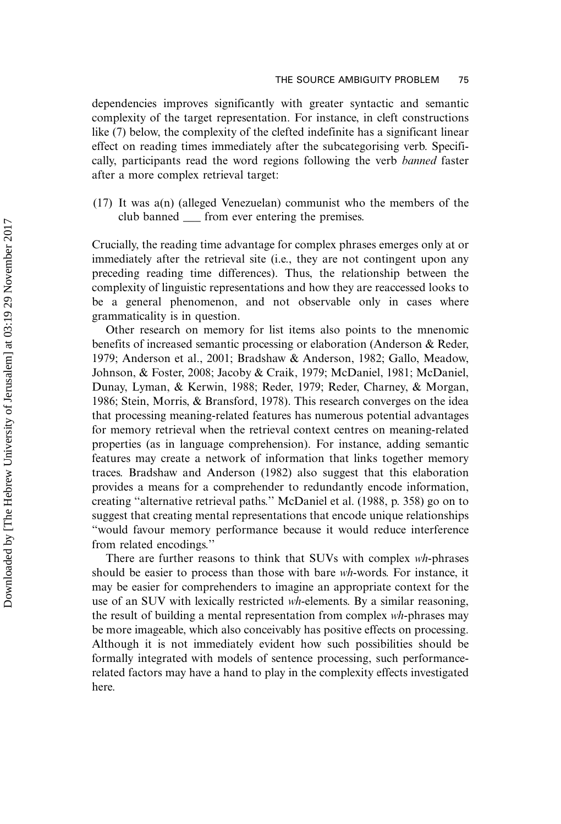dependencies improves significantly with greater syntactic and semantic complexity of the target representation. For instance, in cleft constructions like (7) below, the complexity of the clefted indefinite has a significant linear effect on reading times immediately after the subcategorising verb. Specifically, participants read the word regions following the verb banned faster after a more complex retrieval target:

(17) It was a(n) (alleged Venezuelan) communist who the members of the club banned \_\_\_ from ever entering the premises.

Crucially, the reading time advantage for complex phrases emerges only at or immediately after the retrieval site (i.e., they are not contingent upon any preceding reading time differences). Thus, the relationship between the complexity of linguistic representations and how they are reaccessed looks to be a general phenomenon, and not observable only in cases where grammaticality is in question.

Other research on memory for list items also points to the mnenomic benefits of increased semantic processing or elaboration (Anderson & Reder, 1979; Anderson et al., 2001; Bradshaw & Anderson, 1982; Gallo, Meadow, Johnson, & Foster, 2008; Jacoby & Craik, 1979; McDaniel, 1981; McDaniel, Dunay, Lyman, & Kerwin, 1988; Reder, 1979; Reder, Charney, & Morgan, 1986; Stein, Morris, & Bransford, 1978). This research converges on the idea that processing meaning-related features has numerous potential advantages for memory retrieval when the retrieval context centres on meaning-related properties (as in language comprehension). For instance, adding semantic features may create a network of information that links together memory traces. Bradshaw and Anderson (1982) also suggest that this elaboration provides a means for a comprehender to redundantly encode information, creating ''alternative retrieval paths.'' McDaniel et al. (1988, p. 358) go on to suggest that creating mental representations that encode unique relationships ''would favour memory performance because it would reduce interference from related encodings.''

There are further reasons to think that SUVs with complex wh-phrases should be easier to process than those with bare wh-words. For instance, it may be easier for comprehenders to imagine an appropriate context for the use of an SUV with lexically restricted wh-elements. By a similar reasoning, the result of building a mental representation from complex wh-phrases may be more imageable, which also conceivably has positive effects on processing. Although it is not immediately evident how such possibilities should be formally integrated with models of sentence processing, such performancerelated factors may have a hand to play in the complexity effects investigated here.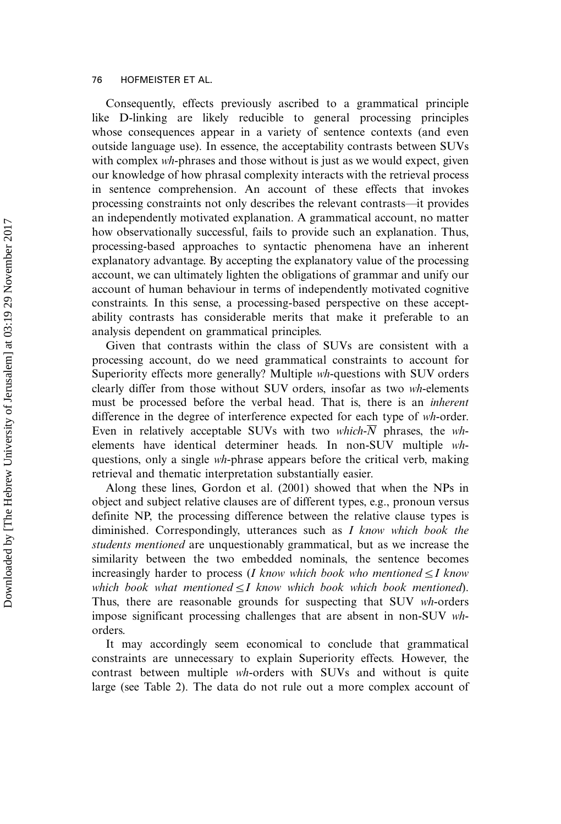Consequently, effects previously ascribed to a grammatical principle like D-linking are likely reducible to general processing principles whose consequences appear in a variety of sentence contexts (and even outside language use). In essence, the acceptability contrasts between SUVs with complex wh-phrases and those without is just as we would expect, given our knowledge of how phrasal complexity interacts with the retrieval process in sentence comprehension. An account of these effects that invokes processing constraints not only describes the relevant contrasts—it provides an independently motivated explanation. A grammatical account, no matter how observationally successful, fails to provide such an explanation. Thus, processing-based approaches to syntactic phenomena have an inherent explanatory advantage. By accepting the explanatory value of the processing account, we can ultimately lighten the obligations of grammar and unify our account of human behaviour in terms of independently motivated cognitive constraints. In this sense, a processing-based perspective on these acceptability contrasts has considerable merits that make it preferable to an analysis dependent on grammatical principles.

Given that contrasts within the class of SUVs are consistent with a processing account, do we need grammatical constraints to account for Superiority effects more generally? Multiple wh-questions with SUV orders clearly differ from those without SUV orders, insofar as two wh-elements must be processed before the verbal head. That is, there is an inherent difference in the degree of interference expected for each type of wh-order. Even in relatively acceptable SUVs with two which- $\overline{N}$  phrases, the whelements have identical determiner heads. In non-SUV multiple whquestions, only a single wh-phrase appears before the critical verb, making retrieval and thematic interpretation substantially easier.

Along these lines, Gordon et al. (2001) showed that when the NPs in object and subject relative clauses are of different types, e.g., pronoun versus definite NP, the processing difference between the relative clause types is diminished. Correspondingly, utterances such as  $I$  know which book the students mentioned are unquestionably grammatical, but as we increase the similarity between the two embedded nominals, the sentence becomes increasingly harder to process (I know which book who mentioned  $\leq I$  know which book what mentioned  $\leq I$  know which book which book mentioned). Thus, there are reasonable grounds for suspecting that SUV wh-orders impose significant processing challenges that are absent in non-SUV whorders.

It may accordingly seem economical to conclude that grammatical constraints are unnecessary to explain Superiority effects. However, the contrast between multiple wh-orders with SUVs and without is quite large (see Table 2). The data do not rule out a more complex account of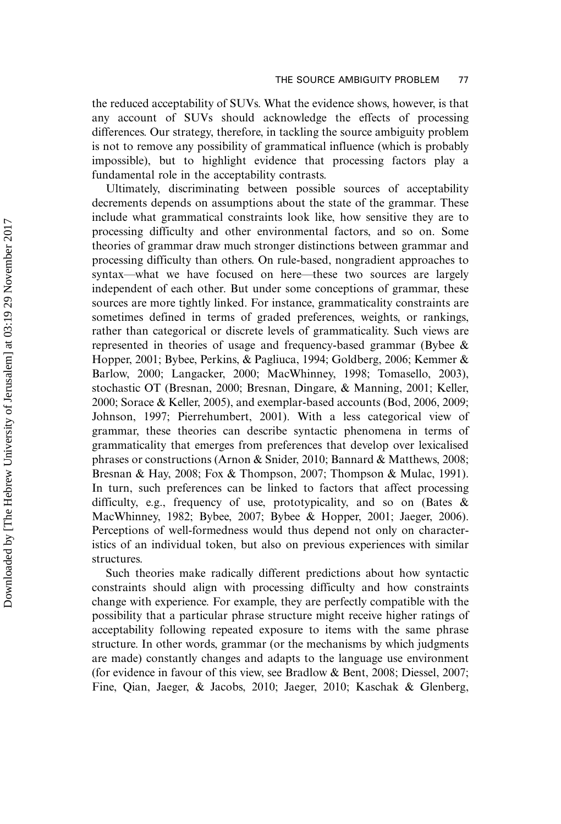the reduced acceptability of SUVs. What the evidence shows, however, is that any account of SUVs should acknowledge the effects of processing differences. Our strategy, therefore, in tackling the source ambiguity problem is not to remove any possibility of grammatical influence (which is probably impossible), but to highlight evidence that processing factors play a fundamental role in the acceptability contrasts.

Ultimately, discriminating between possible sources of acceptability decrements depends on assumptions about the state of the grammar. These include what grammatical constraints look like, how sensitive they are to processing difficulty and other environmental factors, and so on. Some theories of grammar draw much stronger distinctions between grammar and processing difficulty than others. On rule-based, nongradient approaches to syntax—what we have focused on here—these two sources are largely independent of each other. But under some conceptions of grammar, these sources are more tightly linked. For instance, grammaticality constraints are sometimes defined in terms of graded preferences, weights, or rankings, rather than categorical or discrete levels of grammaticality. Such views are represented in theories of usage and frequency-based grammar (Bybee & Hopper, 2001; Bybee, Perkins, & Pagliuca, 1994; Goldberg, 2006; Kemmer & Barlow, 2000; Langacker, 2000; MacWhinney, 1998; Tomasello, 2003), stochastic OT (Bresnan, 2000; Bresnan, Dingare, & Manning, 2001; Keller, 2000; Sorace & Keller, 2005), and exemplar-based accounts (Bod, 2006, 2009; Johnson, 1997; Pierrehumbert, 2001). With a less categorical view of grammar, these theories can describe syntactic phenomena in terms of grammaticality that emerges from preferences that develop over lexicalised phrases or constructions (Arnon & Snider, 2010; Bannard & Matthews, 2008; Bresnan & Hay, 2008; Fox & Thompson, 2007; Thompson & Mulac, 1991). In turn, such preferences can be linked to factors that affect processing difficulty, e.g., frequency of use, prototypicality, and so on (Bates & MacWhinney, 1982; Bybee, 2007; Bybee & Hopper, 2001; Jaeger, 2006). Perceptions of well-formedness would thus depend not only on characteristics of an individual token, but also on previous experiences with similar structures.

Such theories make radically different predictions about how syntactic constraints should align with processing difficulty and how constraints change with experience. For example, they are perfectly compatible with the possibility that a particular phrase structure might receive higher ratings of acceptability following repeated exposure to items with the same phrase structure. In other words, grammar (or the mechanisms by which judgments are made) constantly changes and adapts to the language use environment (for evidence in favour of this view, see Bradlow & Bent, 2008; Diessel, 2007; Fine, Qian, Jaeger, & Jacobs, 2010; Jaeger, 2010; Kaschak & Glenberg,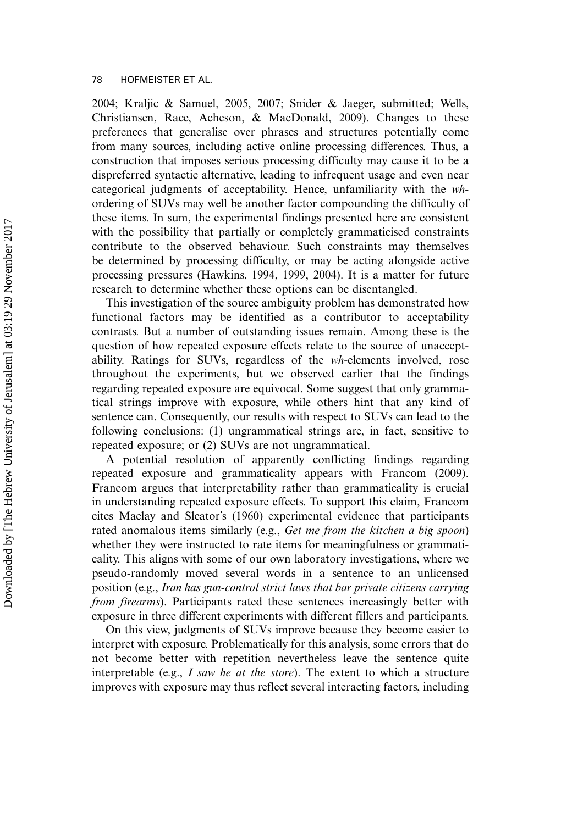2004; Kraljic & Samuel, 2005, 2007; Snider & Jaeger, submitted; Wells, Christiansen, Race, Acheson, & MacDonald, 2009). Changes to these preferences that generalise over phrases and structures potentially come from many sources, including active online processing differences. Thus, a construction that imposes serious processing difficulty may cause it to be a dispreferred syntactic alternative, leading to infrequent usage and even near categorical judgments of acceptability. Hence, unfamiliarity with the whordering of SUVs may well be another factor compounding the difficulty of these items. In sum, the experimental findings presented here are consistent with the possibility that partially or completely grammaticised constraints contribute to the observed behaviour. Such constraints may themselves be determined by processing difficulty, or may be acting alongside active processing pressures (Hawkins, 1994, 1999, 2004). It is a matter for future research to determine whether these options can be disentangled.

This investigation of the source ambiguity problem has demonstrated how functional factors may be identified as a contributor to acceptability contrasts. But a number of outstanding issues remain. Among these is the question of how repeated exposure effects relate to the source of unacceptability. Ratings for SUVs, regardless of the wh-elements involved, rose throughout the experiments, but we observed earlier that the findings regarding repeated exposure are equivocal. Some suggest that only grammatical strings improve with exposure, while others hint that any kind of sentence can. Consequently, our results with respect to SUVs can lead to the following conclusions: (1) ungrammatical strings are, in fact, sensitive to repeated exposure; or (2) SUVs are not ungrammatical.

A potential resolution of apparently conflicting findings regarding repeated exposure and grammaticality appears with Francom (2009). Francom argues that interpretability rather than grammaticality is crucial in understanding repeated exposure effects. To support this claim, Francom cites Maclay and Sleator's (1960) experimental evidence that participants rated anomalous items similarly (e.g., *Get me from the kitchen a big spoon*) whether they were instructed to rate items for meaningfulness or grammaticality. This aligns with some of our own laboratory investigations, where we pseudo-randomly moved several words in a sentence to an unlicensed position (e.g., Iran has gun-control strict laws that bar private citizens carrying from firearms). Participants rated these sentences increasingly better with exposure in three different experiments with different fillers and participants.

On this view, judgments of SUVs improve because they become easier to interpret with exposure. Problematically for this analysis, some errors that do not become better with repetition nevertheless leave the sentence quite interpretable (e.g., I saw he at the store). The extent to which a structure improves with exposure may thus reflect several interacting factors, including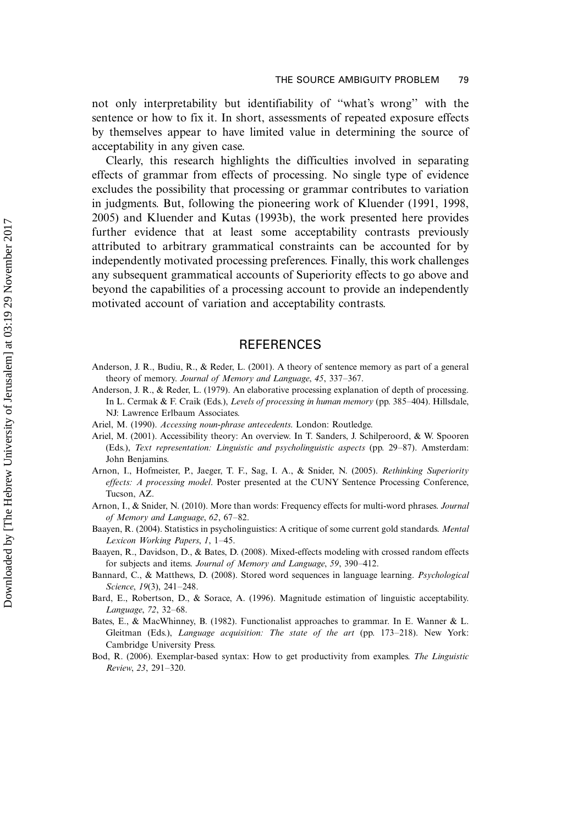not only interpretability but identifiability of ''what's wrong'' with the sentence or how to fix it. In short, assessments of repeated exposure effects by themselves appear to have limited value in determining the source of acceptability in any given case.

Clearly, this research highlights the difficulties involved in separating effects of grammar from effects of processing. No single type of evidence excludes the possibility that processing or grammar contributes to variation in judgments. But, following the pioneering work of Kluender (1991, 1998, 2005) and Kluender and Kutas (1993b), the work presented here provides further evidence that at least some acceptability contrasts previously attributed to arbitrary grammatical constraints can be accounted for by independently motivated processing preferences. Finally, this work challenges any subsequent grammatical accounts of Superiority effects to go above and beyond the capabilities of a processing account to provide an independently motivated account of variation and acceptability contrasts.

## **REFERENCES**

- Anderson, J. R., Budiu, R., & Reder, L. (2001). A theory of sentence memory as part of a general theory of memory. Journal of Memory and Language, 45, 337-367.
- Anderson, J. R., & Reder, L. (1979). An elaborative processing explanation of depth of processing. In L. Cermak & F. Craik (Eds.), Levels of processing in human memory (pp. 385–404). Hillsdale, NJ: Lawrence Erlbaum Associates.
- Ariel, M. (1990). Accessing noun-phrase antecedents. London: Routledge.
- Ariel, M. (2001). Accessibility theory: An overview. In T. Sanders, J. Schilperoord, & W. Spooren (Eds.), Text representation: Linguistic and psycholinguistic aspects (pp. 29-87). Amsterdam: John Benjamins.
- Arnon, I., Hofmeister, P., Jaeger, T. F., Sag, I. A., & Snider, N. (2005). Rethinking Superiority effects: A processing model. Poster presented at the CUNY Sentence Processing Conference, Tucson, AZ.
- Arnon, I., & Snider, N. (2010). More than words: Frequency effects for multi-word phrases. Journal of Memory and Language, 62, 67-82.
- Baayen, R. (2004). Statistics in psycholinguistics: A critique of some current gold standards. Mental Lexicon Working Papers, 1, 1-45.
- Baayen, R., Davidson, D., & Bates, D. (2008). Mixed-effects modeling with crossed random effects for subjects and items. Journal of Memory and Language, 59, 390-412.
- Bannard, C., & Matthews, D. (2008). Stored word sequences in language learning. Psychological Science, 19(3), 241-248.
- Bard, E., Robertson, D., & Sorace, A. (1996). Magnitude estimation of linguistic acceptability. Language, 72, 32-68.
- Bates, E., & MacWhinney, B. (1982). Functionalist approaches to grammar. In E. Wanner & L. Gleitman (Eds.), Language acquisition: The state of the art (pp. 173-218). New York: Cambridge University Press.
- Bod, R. (2006). Exemplar-based syntax: How to get productivity from examples. The Linguistic Review, 23, 291-320.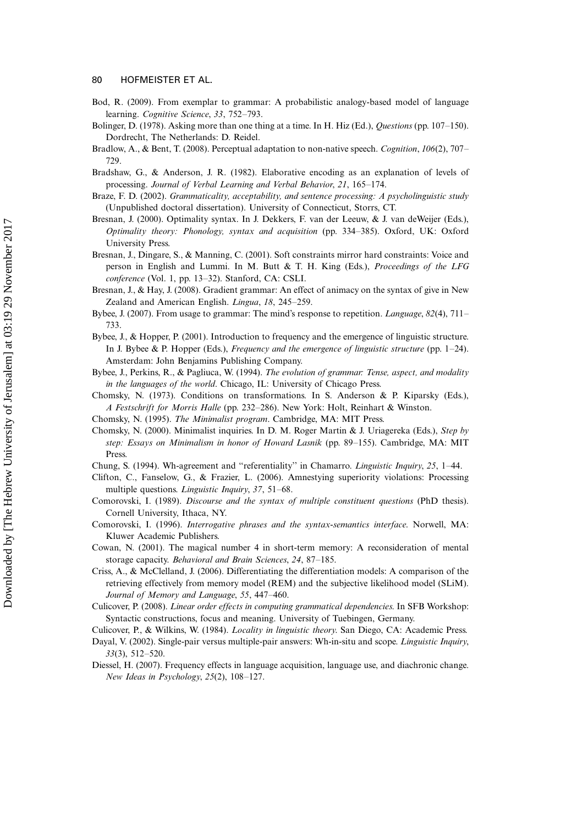- Bod, R. (2009). From exemplar to grammar: A probabilistic analogy-based model of language learning. Cognitive Science, 33, 752-793.
- Bolinger, D. (1978). Asking more than one thing at a time. In H. Hiz (Ed.), *Questions* (pp. 107–150). Dordrecht, The Netherlands: D. Reidel.
- Bradlow, A., & Bent, T. (2008). Perceptual adaptation to non-native speech. Cognition, 106(2), 707– 729.
- Bradshaw, G., & Anderson, J. R. (1982). Elaborative encoding as an explanation of levels of processing. Journal of Verbal Learning and Verbal Behavior, 21, 165-174.
- Braze, F. D. (2002). Grammaticality, acceptability, and sentence processing: A psycholinguistic study (Unpublished doctoral dissertation). University of Connecticut, Storrs, CT.
- Bresnan, J. (2000). Optimality syntax. In J. Dekkers, F. van der Leeuw, & J. van deWeijer (Eds.), Optimality theory: Phonology, syntax and acquisition (pp. 334385). Oxford, UK: Oxford University Press.
- Bresnan, J., Dingare, S., & Manning, C. (2001). Soft constraints mirror hard constraints: Voice and person in English and Lummi. In M. Butt & T. H. King (Eds.), Proceedings of the LFG conference (Vol. 1, pp. 13-32). Stanford, CA: CSLI.
- Bresnan, J., & Hay, J. (2008). Gradient grammar: An effect of animacy on the syntax of give in New Zealand and American English. Lingua, 18, 245-259.
- Bybee, J. (2007). From usage to grammar: The mind's response to repetition. *Language*,  $82(4)$ ,  $711-$ 733.
- Bybee, J., & Hopper, P. (2001). Introduction to frequency and the emergence of linguistic structure. In J. Bybee & P. Hopper (Eds.), *Frequency and the emergence of linguistic structure* (pp.  $1-24$ ). Amsterdam: John Benjamins Publishing Company.
- Bybee, J., Perkins, R., & Pagliuca, W. (1994). The evolution of grammar: Tense, aspect, and modality in the languages of the world. Chicago, IL: University of Chicago Press.
- Chomsky, N. (1973). Conditions on transformations. In S. Anderson & P. Kiparsky (Eds.), A Festschrift for Morris Halle (pp. 232-286). New York: Holt, Reinhart & Winston.
- Chomsky, N. (1995). The Minimalist program. Cambridge, MA: MIT Press.
- Chomsky, N. (2000). Minimalist inquiries. In D. M. Roger Martin & J. Uriagereka (Eds.), Step by step: Essays on Minimalism in honor of Howard Lasnik (pp. 89-155). Cambridge, MA: MIT Press.
- Chung, S. (1994). Wh-agreement and "referentiality" in Chamarro. *Linguistic Inquiry*, 25, 1–44.
- Clifton, C., Fanselow, G., & Frazier, L. (2006). Amnestying superiority violations: Processing multiple questions. *Linguistic Inquiry*,  $37, 51-68$ .
- Comorovski, I. (1989). Discourse and the syntax of multiple constituent questions (PhD thesis). Cornell University, Ithaca, NY.
- Comorovski, I. (1996). Interrogative phrases and the syntax-semantics interface. Norwell, MA: Kluwer Academic Publishers.
- Cowan, N. (2001). The magical number 4 in short-term memory: A reconsideration of mental storage capacity. Behavioral and Brain Sciences, 24, 87-185.
- Criss, A., & McClelland, J. (2006). Differentiating the differentiation models: A comparison of the retrieving effectively from memory model (REM) and the subjective likelihood model (SLiM). Journal of Memory and Language, 55, 447-460.
- Culicover, P. (2008). Linear order effects in computing grammatical dependencies. In SFB Workshop: Syntactic constructions, focus and meaning. University of Tuebingen, Germany.

Culicover, P., & Wilkins, W. (1984). Locality in linguistic theory. San Diego, CA: Academic Press. Dayal, V. (2002). Single-pair versus multiple-pair answers: Wh-in-situ and scope. *Linguistic Inquiry*,  $33(3)$ ,  $512-520$ .

Diessel, H. (2007). Frequency effects in language acquisition, language use, and diachronic change. New Ideas in Psychology,  $25(2)$ ,  $108-127$ .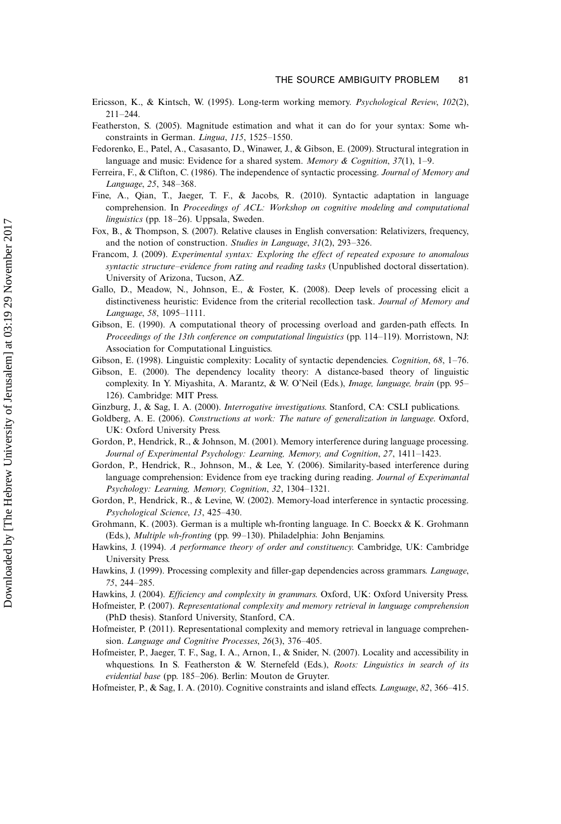- Ericsson, K., & Kintsch, W. (1995). Long-term working memory. Psychological Review, 102(2),  $211 - 244$
- Featherston, S. (2005). Magnitude estimation and what it can do for your syntax: Some whconstraints in German. Lingua, 115, 1525-1550.
- Fedorenko, E., Patel, A., Casasanto, D., Winawer, J., & Gibson, E. (2009). Structural integration in language and music: Evidence for a shared system. Memory & Cognition,  $37(1)$ , 1–9.
- Ferreira, F., & Clifton, C. (1986). The independence of syntactic processing. Journal of Memory and Language, 25, 348-368.
- Fine, A., Qian, T., Jaeger, T. F., & Jacobs, R. (2010). Syntactic adaptation in language comprehension. In Proceedings of ACL: Workshop on cognitive modeling and computational  $linguistics$  (pp. 18–26). Uppsala, Sweden.
- Fox, B., & Thompson, S. (2007). Relative clauses in English conversation: Relativizers, frequency, and the notion of construction. Studies in Language,  $31(2)$ , 293-326.
- Francom, J. (2009). Experimental syntax: Exploring the effect of repeated exposure to anomalous syntactic structure-evidence from rating and reading tasks (Unpublished doctoral dissertation). University of Arizona, Tucson, AZ.
- Gallo, D., Meadow, N., Johnson, E., & Foster, K. (2008). Deep levels of processing elicit a distinctiveness heuristic: Evidence from the criterial recollection task. Journal of Memory and Language, 58, 1095-1111.
- Gibson, E. (1990). A computational theory of processing overload and garden-path effects. In Proceedings of the 13th conference on computational linguistics (pp. 114–119). Morristown, NJ: Association for Computational Linguistics.
- Gibson, E. (1998). Linguistic complexity: Locality of syntactic dependencies. Cognition, 68, 1–76.
- Gibson, E. (2000). The dependency locality theory: A distance-based theory of linguistic complexity. In Y. Miyashita, A. Marantz, & W. O'Neil (Eds.), Image, language, brain (pp. 95-126). Cambridge: MIT Press.
- Ginzburg, J., & Sag, I. A. (2000). Interrogative investigations. Stanford, CA: CSLI publications.
- Goldberg, A. E. (2006). Constructions at work: The nature of generalization in language. Oxford, UK: Oxford University Press.
- Gordon, P., Hendrick, R., & Johnson, M. (2001). Memory interference during language processing. Journal of Experimental Psychology: Learning, Memory, and Cognition, 27, 1411-1423.
- Gordon, P., Hendrick, R., Johnson, M., & Lee, Y. (2006). Similarity-based interference during language comprehension: Evidence from eye tracking during reading. Journal of Experimantal Psychology: Learning, Memory, Cognition, 32, 1304-1321.
- Gordon, P., Hendrick, R., & Levine, W. (2002). Memory-load interference in syntactic processing. Psychological Science, 13, 425-430.
- Grohmann, K. (2003). German is a multiple wh-fronting language. In C. Boeckx & K. Grohmann (Eds.), *Multiple wh-fronting* (pp. 99–130). Philadelphia: John Benjamins.
- Hawkins, J. (1994). A performance theory of order and constituency. Cambridge, UK: Cambridge University Press.
- Hawkins, J. (1999). Processing complexity and filler-gap dependencies across grammars. Language, 75, 244-285.
- Hawkins, J. (2004). Efficiency and complexity in grammars. Oxford, UK: Oxford University Press.
- Hofmeister, P. (2007). Representational complexity and memory retrieval in language comprehension (PhD thesis). Stanford University, Stanford, CA.
- Hofmeister, P. (2011). Representational complexity and memory retrieval in language comprehension. Language and Cognitive Processes, 26(3), 376-405.
- Hofmeister, P., Jaeger, T. F., Sag, I. A., Arnon, I., & Snider, N. (2007). Locality and accessibility in whquestions. In S. Featherston & W. Sternefeld (Eds.), Roots: Linguistics in search of its evidential base (pp. 185-206). Berlin: Mouton de Gruyter.
- Hofmeister, P., & Sag, I. A. (2010). Cognitive constraints and island effects. Language, 82, 366-415.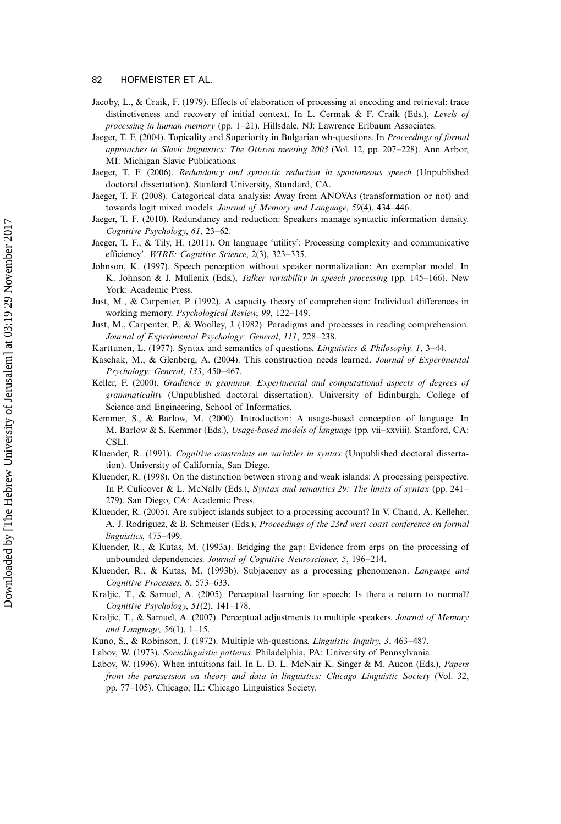- Jacoby, L., & Craik, F. (1979). Effects of elaboration of processing at encoding and retrieval: trace distinctiveness and recovery of initial context. In L. Cermak & F. Craik (Eds.), Levels of processing in human memory (pp.  $1-21$ ). Hillsdale, NJ: Lawrence Erlbaum Associates.
- Jaeger, T. F. (2004). Topicality and Superiority in Bulgarian wh-questions. In *Proceedings of formal* approaches to Slavic linguistics: The Ottawa meeting  $2003$  (Vol. 12, pp. 207–228). Ann Arbor, MI: Michigan Slavic Publications.
- Jaeger, T. F. (2006). Redundancy and syntactic reduction in spontaneous speech (Unpublished doctoral dissertation). Stanford University, Standard, CA.
- Jaeger, T. F. (2008). Categorical data analysis: Away from ANOVAs (transformation or not) and towards logit mixed models. Journal of Memory and Language, 59(4), 434-446.
- Jaeger, T. F. (2010). Redundancy and reduction: Speakers manage syntactic information density. Cognitive Psychology,  $61, 23-62$ .
- Jaeger, T. F., & Tily, H. (2011). On language 'utility': Processing complexity and communicative efficiency'. WIRE: Cognitive Science, 2(3), 323-335.
- Johnson, K. (1997). Speech perception without speaker normalization: An exemplar model. In K. Johnson & J. Mullenix (Eds.), *Talker variability in speech processing* (pp. 145–166). New York: Academic Press.
- Just, M., & Carpenter, P. (1992). A capacity theory of comprehension: Individual differences in working memory. Psychological Review, 99, 122-149.
- Just, M., Carpenter, P., & Woolley, J. (1982). Paradigms and processes in reading comprehension. Journal of Experimental Psychology: General, 111, 228-238.
- Karttunen, L. (1977). Syntax and semantics of questions. Linguistics & Philosophy, 1, 3-44.
- Kaschak, M., & Glenberg, A. (2004). This construction needs learned. Journal of Experimental Psychology: General, 133, 450-467.
- Keller, F. (2000). Gradience in grammar: Experimental and computational aspects of degrees of grammaticality (Unpublished doctoral dissertation). University of Edinburgh, College of Science and Engineering, School of Informatics.
- Kemmer, S., & Barlow, M. (2000). Introduction: A usage-based conception of language. In M. Barlow & S. Kemmer (Eds.), Usage-based models of language (pp. vii-xxviii). Stanford, CA: CSLI.
- Kluender, R. (1991). Cognitive constraints on variables in syntax (Unpublished doctoral dissertation). University of California, San Diego.
- Kluender, R. (1998). On the distinction between strong and weak islands: A processing perspective. In P. Culicover & L. McNally (Eds.), Syntax and semantics 29: The limits of syntax (pp. 241– 279). San Diego, CA: Academic Press.
- Kluender, R. (2005). Are subject islands subject to a processing account? In V. Chand, A. Kelleher, A, J. Rodriguez, & B. Schmeiser (Eds.), Proceedings of the 23rd west coast conference on formal linguistics, 475-499.
- Kluender, R., & Kutas, M. (1993a). Bridging the gap: Evidence from erps on the processing of unbounded dependencies. Journal of Cognitive Neuroscience, 5, 196-214.
- Kluender, R., & Kutas, M. (1993b). Subjacency as a processing phenomenon. Language and Cognitive Processes, 8, 573-633.
- Kraljic, T., & Samuel, A. (2005). Perceptual learning for speech: Is there a return to normal? Cognitive Psychology,  $51(2)$ ,  $141-178$ .
- Kraljic, T., & Samuel, A. (2007). Perceptual adjustments to multiple speakers. Journal of Memory and Language,  $56(1)$ ,  $1-15$ .
- Kuno, S., & Robinson, J. (1972). Multiple wh-questions. Linguistic Inquiry, 3, 463-487.
- Labov, W. (1973). Sociolinguistic patterns. Philadelphia, PA: University of Pennsylvania.
- Labov, W. (1996). When intuitions fail. In L. D. L. McNair K. Singer & M. Aucon (Eds.), Papers from the parasession on theory and data in linguistics: Chicago Linguistic Society (Vol. 32, pp. 77-105). Chicago, IL: Chicago Linguistics Society.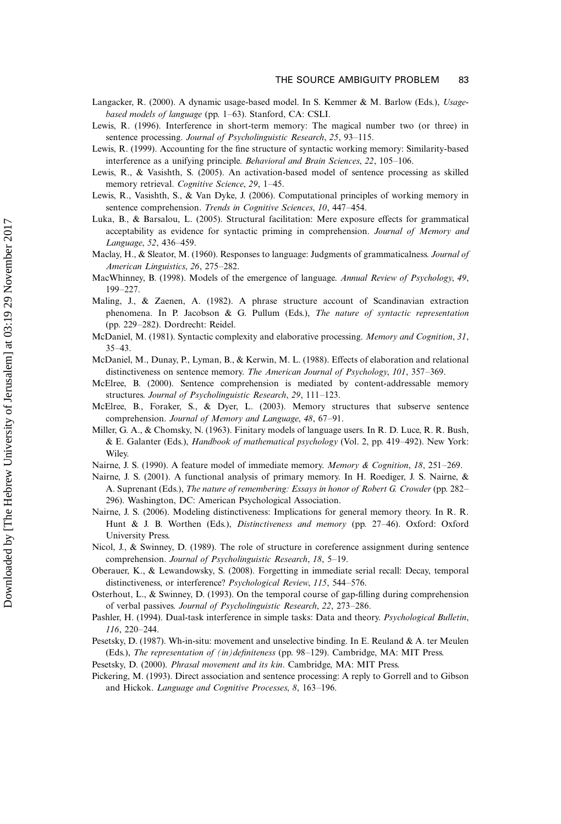- Langacker, R. (2000). A dynamic usage-based model. In S. Kemmer & M. Barlow (Eds.), Usagebased models of language (pp.  $1-63$ ). Stanford, CA: CSLI.
- Lewis, R. (1996). Interference in short-term memory: The magical number two (or three) in sentence processing. Journal of Psycholinguistic Research, 25, 93-115.
- Lewis, R. (1999). Accounting for the fine structure of syntactic working memory: Similarity-based interference as a unifying principle. Behavioral and Brain Sciences, 22, 105-106.
- Lewis, R., & Vasishth, S. (2005). An activation-based model of sentence processing as skilled memory retrieval. Cognitive Science, 29, 1-45.
- Lewis, R., Vasishth, S., & Van Dyke, J. (2006). Computational principles of working memory in sentence comprehension. Trends in Cognitive Sciences, 10, 447-454.
- Luka, B., & Barsalou, L. (2005). Structural facilitation: Mere exposure effects for grammatical acceptability as evidence for syntactic priming in comprehension. Journal of Memory and Language, 52, 436-459.
- Maclay, H., & Sleator, M. (1960). Responses to language: Judgments of grammaticalness. Journal of American Linguistics, 26, 275-282.
- MacWhinney, B. (1998). Models of the emergence of language. Annual Review of Psychology, 49, 199227.
- Maling, J., & Zaenen, A. (1982). A phrase structure account of Scandinavian extraction phenomena. In P. Jacobson & G. Pullum (Eds.), The nature of syntactic representation (pp. 229-282). Dordrecht: Reidel.
- McDaniel, M. (1981). Syntactic complexity and elaborative processing. Memory and Cognition, 31, 3543.
- McDaniel, M., Dunay, P., Lyman, B., & Kerwin, M. L. (1988). Effects of elaboration and relational distinctiveness on sentence memory. The American Journal of Psychology, 101, 357-369.
- McElree, B. (2000). Sentence comprehension is mediated by content-addressable memory structures. Journal of Psycholinguistic Research, 29, 111-123.
- McElree, B., Foraker, S., & Dyer, L. (2003). Memory structures that subserve sentence comprehension. Journal of Memory and Language, 48, 67-91.
- Miller, G. A., & Chomsky, N. (1963). Finitary models of language users. In R. D. Luce, R. R. Bush, & E. Galanter (Eds.), *Handbook of mathematical psychology* (Vol. 2, pp. 419–492). New York: Wiley.
- Nairne, J. S. (1990). A feature model of immediate memory. Memory & Cognition, 18, 251-269.
- Nairne, J. S. (2001). A functional analysis of primary memory. In H. Roediger, J. S. Nairne, & A. Suprenant (Eds.), The nature of remembering: Essays in honor of Robert G. Crowder (pp. 282– 296). Washington, DC: American Psychological Association.
- Nairne, J. S. (2006). Modeling distinctiveness: Implications for general memory theory. In R. R. Hunt & J. B. Worthen (Eds.), Distinctiveness and memory (pp. 27-46). Oxford: Oxford University Press.
- Nicol, J., & Swinney, D. (1989). The role of structure in coreference assignment during sentence comprehension. Journal of Psycholinguistic Research, 18, 5-19.
- Oberauer, K., & Lewandowsky, S. (2008). Forgetting in immediate serial recall: Decay, temporal distinctiveness, or interference? Psychological Review, 115, 544-576.

Osterhout, L., & Swinney, D. (1993). On the temporal course of gap-filling during comprehension of verbal passives. Journal of Psycholinguistic Research, 22, 273–286.

- Pashler, H. (1994). Dual-task interference in simple tasks: Data and theory. Psychological Bulletin, 116, 220-244.
- Pesetsky, D. (1987). Wh-in-situ: movement and unselective binding. In E. Reuland & A. ter Meulen (Eds.), The representation of (in)definiteness (pp. 98-129). Cambridge, MA: MIT Press.
- Pesetsky, D. (2000). Phrasal movement and its kin. Cambridge, MA: MIT Press.
- Pickering, M. (1993). Direct association and sentence processing: A reply to Gorrell and to Gibson and Hickok. Language and Cognitive Processes, 8, 163-196.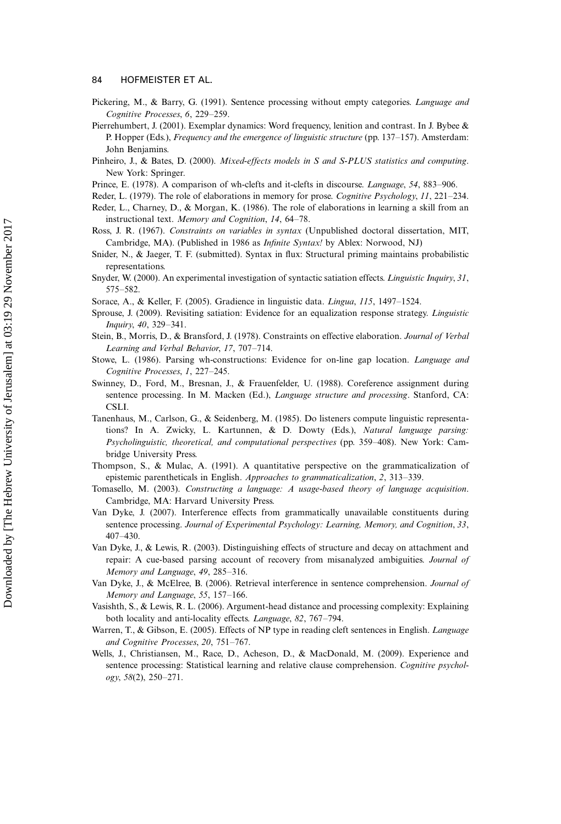- Pickering, M., & Barry, G. (1991). Sentence processing without empty categories. Language and Cognitive Processes, 6, 229-259.
- Pierrehumbert, J. (2001). Exemplar dynamics: Word frequency, lenition and contrast. In J. Bybee & P. Hopper (Eds.), *Frequency and the emergence of linguistic structure* (pp. 137–157). Amsterdam: John Benjamins.
- Pinheiro, J., & Bates, D. (2000). Mixed-effects models in S and S-PLUS statistics and computing. New York: Springer.
- Prince, E. (1978). A comparison of wh-clefts and it-clefts in discourse. *Language*, 54, 883–906.
- Reder, L. (1979). The role of elaborations in memory for prose. Cognitive Psychology, 11, 221–234.
- Reder, L., Charney, D., & Morgan, K. (1986). The role of elaborations in learning a skill from an instructional text. Memory and Cognition, 14, 64-78.
- Ross, J. R. (1967). Constraints on variables in syntax (Unpublished doctoral dissertation, MIT, Cambridge, MA). (Published in 1986 as Infinite Syntax! by Ablex: Norwood, NJ)
- Snider, N., & Jaeger, T. F. (submitted). Syntax in flux: Structural priming maintains probabilistic representations.
- Snyder, W. (2000). An experimental investigation of syntactic satiation effects. Linguistic Inquiry, 31,  $575 - 582.$
- Sorace, A., & Keller, F. (2005). Gradience in linguistic data. *Lingua*,  $115$ , 1497–1524.
- Sprouse, J. (2009). Revisiting satiation: Evidence for an equalization response strategy. Linguistic Inquiry, 40, 329-341.
- Stein, B., Morris, D., & Bransford, J. (1978). Constraints on effective elaboration. Journal of Verbal Learning and Verbal Behavior, 17, 707-714.
- Stowe, L. (1986). Parsing wh-constructions: Evidence for on-line gap location. Language and Cognitive Processes, 1, 227-245.
- Swinney, D., Ford, M., Bresnan, J., & Frauenfelder, U. (1988). Coreference assignment during sentence processing. In M. Macken (Ed.), *Language structure and processing*. Stanford, CA: CSLI.
- Tanenhaus, M., Carlson, G., & Seidenberg, M. (1985). Do listeners compute linguistic representations? In A. Zwicky, L. Kartunnen, & D. Dowty (Eds.), Natural language parsing: Psycholinguistic, theoretical, and computational perspectives (pp. 359-408). New York: Cambridge University Press.
- Thompson, S., & Mulac, A. (1991). A quantitative perspective on the grammaticalization of epistemic parentheticals in English. Approaches to grammaticalization, 2, 313-339.
- Tomasello, M. (2003). Constructing a language: A usage-based theory of language acquisition. Cambridge, MA: Harvard University Press.
- Van Dyke, J. (2007). Interference effects from grammatically unavailable constituents during sentence processing. Journal of Experimental Psychology: Learning, Memory, and Cognition, 33, 407-430.
- Van Dyke, J., & Lewis, R. (2003). Distinguishing effects of structure and decay on attachment and repair: A cue-based parsing account of recovery from misanalyzed ambiguities. Journal of Memory and Language, 49, 285-316.
- Van Dyke, J., & McElree, B. (2006). Retrieval interference in sentence comprehension. Journal of Memory and Language, 55, 157-166.
- Vasishth, S., & Lewis, R. L. (2006). Argument-head distance and processing complexity: Explaining both locality and anti-locality effects. Language, 82, 767-794.
- Warren, T., & Gibson, E. (2005). Effects of NP type in reading cleft sentences in English. Language and Cognitive Processes, 20, 751-767.
- Wells, J., Christiansen, M., Race, D., Acheson, D., & MacDonald, M. (2009). Experience and sentence processing: Statistical learning and relative clause comprehension. Cognitive psychol- $\log y$ , 58(2), 250-271.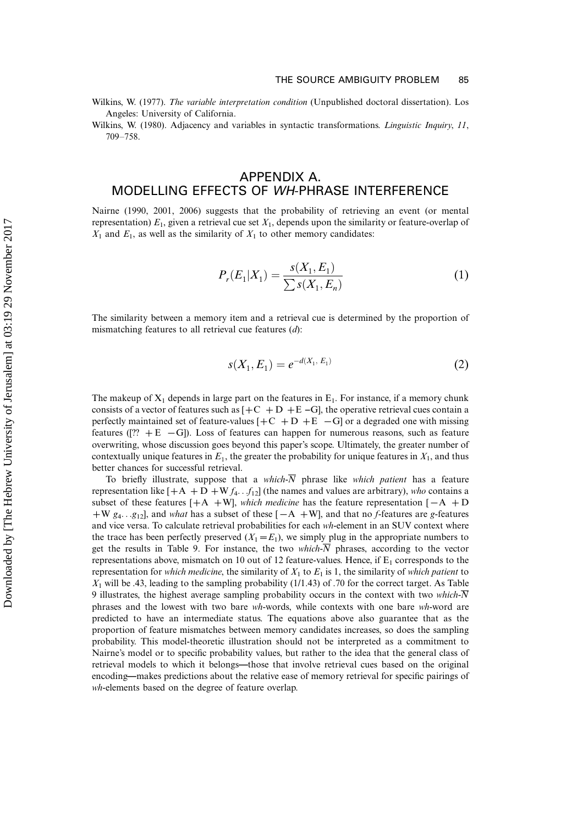Wilkins, W. (1977). The variable interpretation condition (Unpublished doctoral dissertation). Los Angeles: University of California.

Wilkins, W. (1980). Adjacency and variables in syntactic transformations. *Linguistic Inquiry, 11*, 709-758

## APPENDIX A. MODELLING EFFECTS OF WH-PHRASE INTERFERENCE

Nairne (1990, 2001, 2006) suggests that the probability of retrieving an event (or mental representation)  $E_1$ , given a retrieval cue set  $X_1$ , depends upon the similarity or feature-overlap of  $X_1$  and  $E_1$ , as well as the similarity of  $X_1$  to other memory candidates:

$$
P_r(E_1|X_1) = \frac{s(X_1, E_1)}{\sum s(X_1, E_n)}
$$
\n(1)

The similarity between a memory item and a retrieval cue is determined by the proportion of mismatching features to all retrieval cue features  $(d)$ :

$$
s(X_1, E_1) = e^{-d(X_1, E_1)}
$$
\n(2)

The makeup of  $X_1$  depends in large part on the features in  $E_1$ . For instance, if a memory chunk consists of a vector of features such as  $[-C + D + E - G]$ , the operative retrieval cues contain a perfectly maintained set of feature-values  $[+C + D + E - G]$  or a degraded one with missing features ( $[?? + E - G]$ ). Loss of features can happen for numerous reasons, such as feature overwriting, whose discussion goes beyond this paper's scope. Ultimately, the greater number of contextually unique features in  $E_1$ , the greater the probability for unique features in  $X_1$ , and thus better chances for successful retrieval.

To briefly illustrate, suppose that a which- $\overline{N}$  phrase like which patient has a feature representation like  $[+A + D + W f_4 \tcdot f_{12}]$  (the names and values are arbitrary), who contains a subset of these features  $[+A + W]$ , which medicine has the feature representation  $[-A + D]$  $+W$  g<sub>4</sub>...g<sub>12</sub>], and *what* has a subset of these [ $-A + W$ ], and that no f-features are g-features and vice versa. To calculate retrieval probabilities for each wh-element in an SUV context where the trace has been perfectly preserved  $(X_1 = E_1)$ , we simply plug in the appropriate numbers to get the results in Table 9. For instance, the two which- $\overline{N}$  phrases, according to the vector representations above, mismatch on 10 out of 12 feature-values. Hence, if  $E_1$  corresponds to the representation for which medicine, the similarity of  $X_1$  to  $E_1$  is 1, the similarity of which patient to  $X_1$  will be .43, leading to the sampling probability (1/1.43) of .70 for the correct target. As Table 9 illustrates, the highest average sampling probability occurs in the context with two which- $\overline{N}$ phrases and the lowest with two bare wh-words, while contexts with one bare wh-word are predicted to have an intermediate status. The equations above also guarantee that as the proportion of feature mismatches between memory candidates increases, so does the sampling probability. This model-theoretic illustration should not be interpreted as a commitment to Nairne's model or to specific probability values, but rather to the idea that the general class of retrieval models to which it belongs—those that involve retrieval cues based on the original encoding—makes predictions about the relative ease of memory retrieval for specific pairings of wh-elements based on the degree of feature overlap.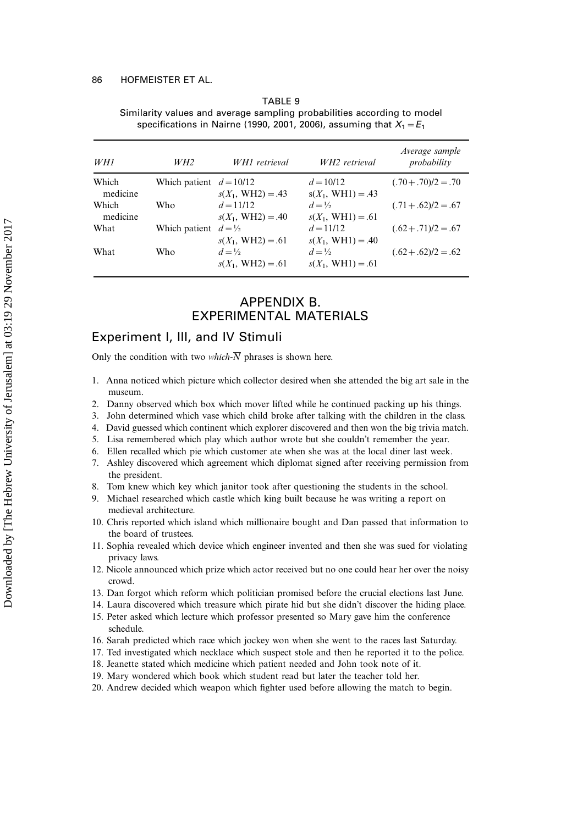| TABLE 9                                                                 |
|-------------------------------------------------------------------------|
| Similarity values and average sampling probabilities according to model |
| specifications in Nairne (1990, 2001, 2006), assuming that $X_1 = E_1$  |

| WH1               | WH2                             | WH1 retrieval                                   | WH <sub>2</sub> retrieval                       | Average sample<br>probability |
|-------------------|---------------------------------|-------------------------------------------------|-------------------------------------------------|-------------------------------|
| Which<br>medicine | Which patient $d = 10/12$       | $s(X_1, \text{WH2}) = .43$                      | $d = 10/12$<br>$s(X_1, WH1) = .43$              | $(.70+.70)/2=.70$             |
| Which<br>medicine | Who                             | $d = 11/12$<br>$s(X_1, \text{WH2}) = .40$       | $d = \frac{1}{2}$<br>$s(X_1, \text{WH1}) = .61$ | $(.71 + .62)/2 = .67$         |
| What              | Which patient $d = \frac{1}{2}$ | $s(X_1, \text{WH2}) = .61$                      | $d = 11/12$<br>$s(X_1, \text{WH1}) = .40$       | $(.62+.71)/2=.67$             |
| What              | Who                             | $d = \frac{1}{2}$<br>$s(X_1, \text{WH2}) = .61$ | $d = \frac{1}{2}$<br>$s(X_1, \text{WH1}) = .61$ | $(.62+.62)/2=.62$             |

## APPENDIX B. EXPERIMENTAL MATERIALS

## Experiment I, III, and IV Stimuli

Only the condition with two *which*- $\overline{N}$  phrases is shown here.

- 1. Anna noticed which picture which collector desired when she attended the big art sale in the museum.
- 2. Danny observed which box which mover lifted while he continued packing up his things.
- 3. John determined which vase which child broke after talking with the children in the class.
- 4. David guessed which continent which explorer discovered and then won the big trivia match.
- 5. Lisa remembered which play which author wrote but she couldn't remember the year.
- 6. Ellen recalled which pie which customer ate when she was at the local diner last week.
- 7. Ashley discovered which agreement which diplomat signed after receiving permission from the president.
- 8. Tom knew which key which janitor took after questioning the students in the school.
- 9. Michael researched which castle which king built because he was writing a report on medieval architecture.
- 10. Chris reported which island which millionaire bought and Dan passed that information to the board of trustees.
- 11. Sophia revealed which device which engineer invented and then she was sued for violating privacy laws.
- 12. Nicole announced which prize which actor received but no one could hear her over the noisy crowd.
- 13. Dan forgot which reform which politician promised before the crucial elections last June.
- 14. Laura discovered which treasure which pirate hid but she didn't discover the hiding place.
- 15. Peter asked which lecture which professor presented so Mary gave him the conference schedule.
- 16. Sarah predicted which race which jockey won when she went to the races last Saturday.
- 17. Ted investigated which necklace which suspect stole and then he reported it to the police.
- 18. Jeanette stated which medicine which patient needed and John took note of it.
- 19. Mary wondered which book which student read but later the teacher told her.
- 20. Andrew decided which weapon which fighter used before allowing the match to begin.